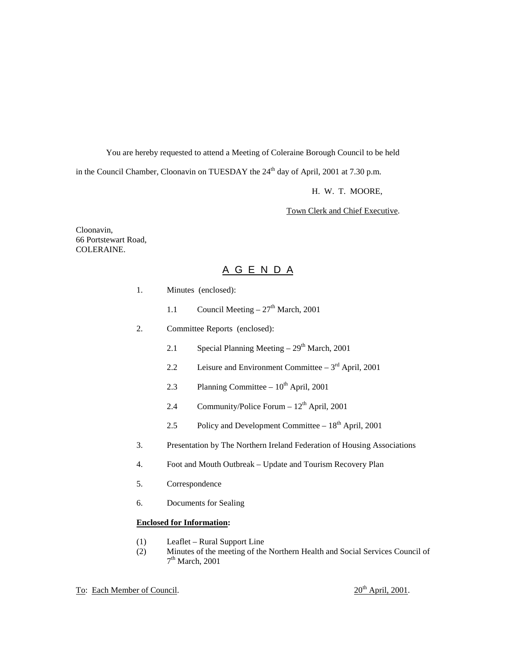You are hereby requested to attend a Meeting of Coleraine Borough Council to be held

in the Council Chamber, Cloonavin on TUESDAY the  $24<sup>th</sup>$  day of April, 2001 at 7.30 p.m.

H. W. T. MOORE,

Town Clerk and Chief Executive.

Cloonavin, 66 Portstewart Road, COLERAINE.

## A G E N D A

- 1. Minutes (enclosed):
	- 1.1 Council Meeting  $27<sup>th</sup>$  March, 2001
- 2. Committee Reports (enclosed):
	- 2.1 Special Planning Meeting  $-29<sup>th</sup>$  March, 2001
	- 2.2 Leisure and Environment Committee  $3<sup>rd</sup>$  April, 2001
	- 2.3 Planning Committee  $10^{th}$  April, 2001
	- 2.4 Community/Police Forum  $12<sup>th</sup>$  April, 2001
	- 2.5 Policy and Development Committee  $-18<sup>th</sup>$  April, 2001
- 3. Presentation by The Northern Ireland Federation of Housing Associations
- 4. Foot and Mouth Outbreak Update and Tourism Recovery Plan
- 5. Correspondence
- 6. Documents for Sealing

#### **Enclosed for Information:**

- (1) Leaflet Rural Support Line
- (2) Minutes of the meeting of the Northern Health and Social Services Council of  $7<sup>th</sup> March, 2001$

## To: Each Member of Council.  $20^{th}$  April, 2001.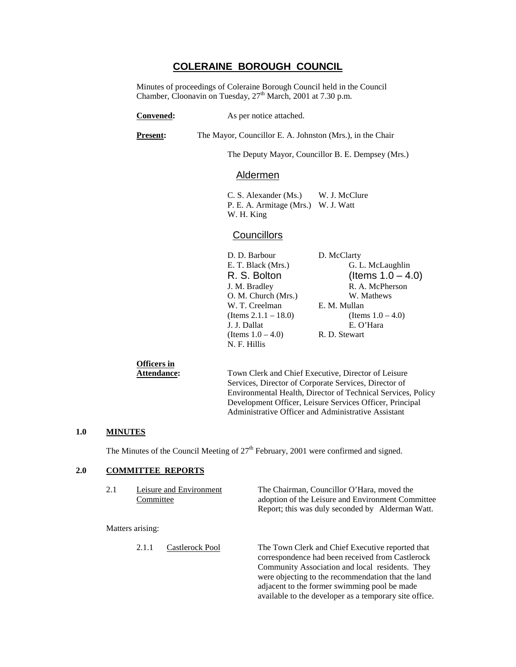## **COLERAINE BOROUGH COUNCIL**

Minutes of proceedings of Coleraine Borough Council held in the Council Chamber, Cloonavin on Tuesday, 27<sup>th</sup> March, 2001 at 7.30 p.m.

| <b>Convened:</b>                  | As per notice attached.                                                                                                                                                                          |                                                                                                                                                                              |  |  |
|-----------------------------------|--------------------------------------------------------------------------------------------------------------------------------------------------------------------------------------------------|------------------------------------------------------------------------------------------------------------------------------------------------------------------------------|--|--|
| Present:                          |                                                                                                                                                                                                  | The Mayor, Councillor E. A. Johnston (Mrs.), in the Chair                                                                                                                    |  |  |
|                                   |                                                                                                                                                                                                  | The Deputy Mayor, Councillor B. E. Dempsey (Mrs.)                                                                                                                            |  |  |
|                                   | <u>Aldermen</u>                                                                                                                                                                                  |                                                                                                                                                                              |  |  |
|                                   | C. S. Alexander (Ms.) W. J. McClure<br>P. E. A. Armitage (Mrs.) W. J. Watt<br>W. H. King                                                                                                         |                                                                                                                                                                              |  |  |
|                                   | <b>Councillors</b>                                                                                                                                                                               |                                                                                                                                                                              |  |  |
|                                   | D. D. Barbour<br>E. T. Black (Mrs.)<br>R. S. Bolton<br>J. M. Bradley<br>O. M. Church (Mrs.)<br>W. T. Creelman<br>(Items $2.1.1 - 18.0$ )<br>J. J. Dallat<br>(Items $1.0 - 4.0$ )<br>N. F. Hillis | D. McClarty<br>G. L. McLaughlin<br>(Items $1.0 - 4.0$ )<br>R. A. McPherson<br>W. Mathews<br>E. M. Mullan<br>(Items $1.0 - 4.0$ )<br>E. O'Hara<br>R. D. Stewart               |  |  |
| Officers in<br><b>Attendance:</b> |                                                                                                                                                                                                  | Town Clerk and Chief Executive, Director of Leisure<br>Services, Director of Corporate Services, Director of<br>Environmental Health, Director of Technical Services, Policy |  |  |

Development Officer, Leisure Services Officer, Principal Administrative Officer and Administrative Assistant

### **1.0 MINUTES**

The Minutes of the Council Meeting of  $27<sup>th</sup>$  February, 2001 were confirmed and signed.

## **2.0 COMMITTEE REPORTS**

| 2.1 | Committee                | Leisure and Environment | The Chairman, Councillor O'Hara, moved the<br>adoption of the Leisure and Environment Committee<br>Report; this was duly seconded by Alderman Watt.                                                                                                                                                                     |
|-----|--------------------------|-------------------------|-------------------------------------------------------------------------------------------------------------------------------------------------------------------------------------------------------------------------------------------------------------------------------------------------------------------------|
|     | Matters arising:         |                         |                                                                                                                                                                                                                                                                                                                         |
|     | Castlerock Pool<br>2.1.1 |                         | The Town Clerk and Chief Executive reported that<br>correspondence had been received from Castlerock<br>Community Association and local residents. They<br>were objecting to the recommendation that the land<br>adjacent to the former swimming pool be made<br>available to the developer as a temporary site office. |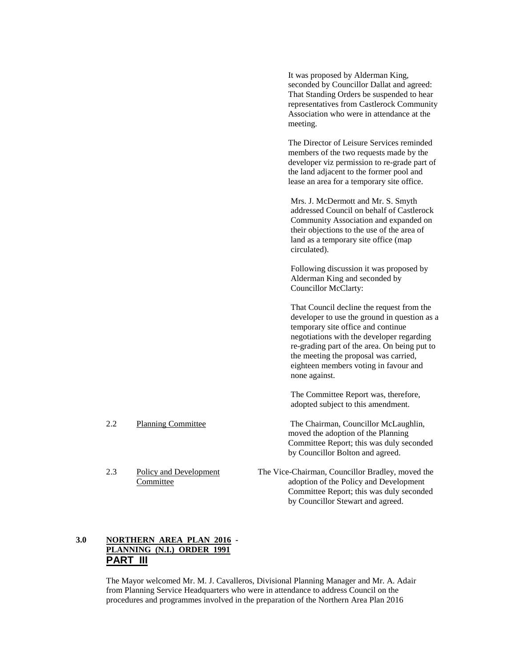It was proposed by Alderman King, seconded by Councillor Dallat and agreed: That Standing Orders be suspended to hear representatives from Castlerock Community Association who were in attendance at the meeting.

The Director of Leisure Services reminded members of the two requests made by the developer viz permission to re-grade part of the land adjacent to the former pool and lease an area for a temporary site office.

Mrs. J. McDermott and Mr. S. Smyth addressed Council on behalf of Castlerock Community Association and expanded on their objections to the use of the area of land as a temporary site office (map circulated).

Following discussion it was proposed by Alderman King and seconded by Councillor McClarty:

That Council decline the request from the developer to use the ground in question as a temporary site office and continue negotiations with the developer regarding re-grading part of the area. On being put to the meeting the proposal was carried, eighteen members voting in favour and none against.

The Committee Report was, therefore, adopted subject to this amendment.

2.2 Planning Committee The Chairman, Councillor McLaughlin, moved the adoption of the Planning Committee Report; this was duly seconded by Councillor Bolton and agreed.

2.3 Policy and Development The Vice-Chairman, Councillor Bradley, moved the Committee adoption of the Policy and Development Committee Report; this was duly seconded by Councillor Stewart and agreed.

## **3.0 NORTHERN AREA PLAN 2016 - PLANNING (N.I.) ORDER 1991 PART III**

The Mayor welcomed Mr. M. J. Cavalleros, Divisional Planning Manager and Mr. A. Adair from Planning Service Headquarters who were in attendance to address Council on the procedures and programmes involved in the preparation of the Northern Area Plan 2016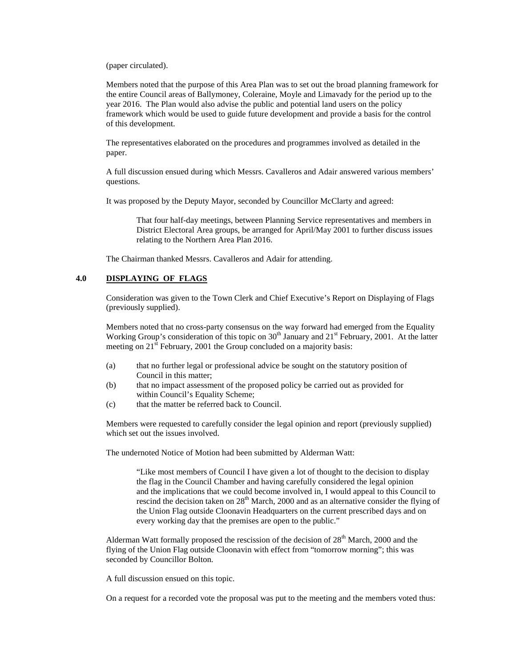(paper circulated).

Members noted that the purpose of this Area Plan was to set out the broad planning framework for the entire Council areas of Ballymoney, Coleraine, Moyle and Limavady for the period up to the year 2016. The Plan would also advise the public and potential land users on the policy framework which would be used to guide future development and provide a basis for the control of this development.

The representatives elaborated on the procedures and programmes involved as detailed in the paper.

A full discussion ensued during which Messrs. Cavalleros and Adair answered various members' questions.

It was proposed by the Deputy Mayor, seconded by Councillor McClarty and agreed:

That four half-day meetings, between Planning Service representatives and members in District Electoral Area groups, be arranged for April/May 2001 to further discuss issues relating to the Northern Area Plan 2016.

The Chairman thanked Messrs. Cavalleros and Adair for attending.

## **4.0 DISPLAYING OF FLAGS**

Consideration was given to the Town Clerk and Chief Executive's Report on Displaying of Flags (previously supplied).

Members noted that no cross-party consensus on the way forward had emerged from the Equality Working Group's consideration of this topic on  $30<sup>th</sup>$  January and  $21<sup>st</sup>$  February, 2001. At the latter meeting on  $21^{\text{st}}$  February, 2001 the Group concluded on a majority basis:

- (a) that no further legal or professional advice be sought on the statutory position of Council in this matter;
- (b) that no impact assessment of the proposed policy be carried out as provided for within Council's Equality Scheme;
- (c) that the matter be referred back to Council.

Members were requested to carefully consider the legal opinion and report (previously supplied) which set out the issues involved.

The undernoted Notice of Motion had been submitted by Alderman Watt:

"Like most members of Council I have given a lot of thought to the decision to display the flag in the Council Chamber and having carefully considered the legal opinion and the implications that we could become involved in, I would appeal to this Council to rescind the decision taken on  $28<sup>th</sup>$  March, 2000 and as an alternative consider the flying of the Union Flag outside Cloonavin Headquarters on the current prescribed days and on every working day that the premises are open to the public."

Alderman Watt formally proposed the rescission of the decision of  $28<sup>th</sup>$  March, 2000 and the flying of the Union Flag outside Cloonavin with effect from "tomorrow morning"; this was seconded by Councillor Bolton.

A full discussion ensued on this topic.

On a request for a recorded vote the proposal was put to the meeting and the members voted thus: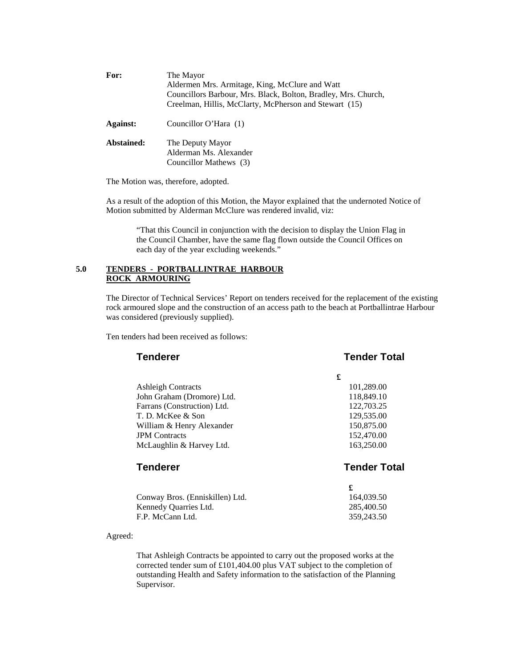| For:       | The Mayor<br>Aldermen Mrs. Armitage, King, McClure and Watt<br>Councillors Barbour, Mrs. Black, Bolton, Bradley, Mrs. Church,<br>Creelman, Hillis, McClarty, McPherson and Stewart (15) |
|------------|-----------------------------------------------------------------------------------------------------------------------------------------------------------------------------------------|
| Against:   | Councillor O'Hara (1)                                                                                                                                                                   |
| Abstained: | The Deputy Mayor<br>Alderman Ms. Alexander<br>Councillor Mathews (3)                                                                                                                    |

The Motion was, therefore, adopted.

As a result of the adoption of this Motion, the Mayor explained that the undernoted Notice of Motion submitted by Alderman McClure was rendered invalid, viz:

"That this Council in conjunction with the decision to display the Union Flag in the Council Chamber, have the same flag flown outside the Council Offices on each day of the year excluding weekends."

## **5.0 TENDERS - PORTBALLINTRAE HARBOUR ROCK ARMOURING**

The Director of Technical Services' Report on tenders received for the replacement of the existing rock armoured slope and the construction of an access path to the beach at Portballintrae Harbour was considered (previously supplied).

Ten tenders had been received as follows:

| <b>Tenderer</b>             | <b>Tender Total</b> |  |
|-----------------------------|---------------------|--|
|                             | £                   |  |
| <b>Ashleigh Contracts</b>   | 101,289.00          |  |
| John Graham (Dromore) Ltd.  | 118,849.10          |  |
| Farrans (Construction) Ltd. | 122,703.25          |  |
| T. D. McKee & Son           | 129,535.00          |  |
| William & Henry Alexander   | 150,875.00          |  |
| <b>JPM</b> Contracts        | 152,470.00          |  |
| McLaughlin & Harvey Ltd.    | 163,250.00          |  |

## **Tenderer Tender Total**

| 164,039.50 |
|------------|
| 285,400.50 |
| 359,243.50 |
|            |

Agreed:

That Ashleigh Contracts be appointed to carry out the proposed works at the corrected tender sum of £101,404.00 plus VAT subject to the completion of outstanding Health and Safety information to the satisfaction of the Planning Supervisor.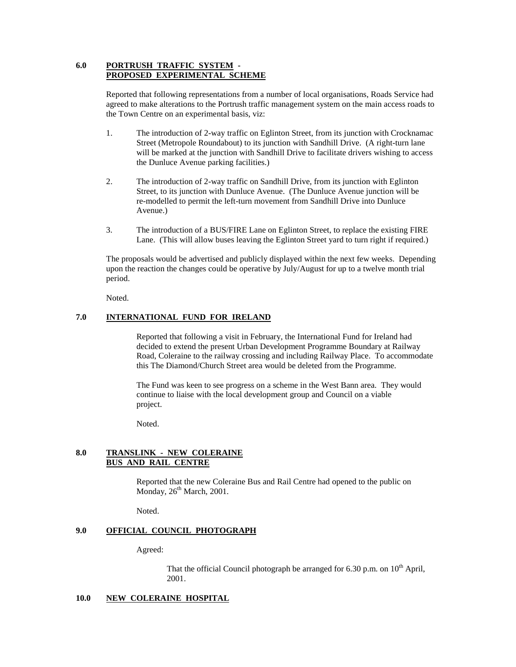## **6.0 PORTRUSH TRAFFIC SYSTEM - PROPOSED EXPERIMENTAL SCHEME**

Reported that following representations from a number of local organisations, Roads Service had agreed to make alterations to the Portrush traffic management system on the main access roads to the Town Centre on an experimental basis, viz:

- 1. The introduction of 2-way traffic on Eglinton Street, from its junction with Crocknamac Street (Metropole Roundabout) to its junction with Sandhill Drive. (A right-turn lane will be marked at the junction with Sandhill Drive to facilitate drivers wishing to access the Dunluce Avenue parking facilities.)
- 2. The introduction of 2-way traffic on Sandhill Drive, from its junction with Eglinton Street, to its junction with Dunluce Avenue. (The Dunluce Avenue junction will be re-modelled to permit the left-turn movement from Sandhill Drive into Dunluce Avenue.)
- 3. The introduction of a BUS/FIRE Lane on Eglinton Street, to replace the existing FIRE Lane. (This will allow buses leaving the Eglinton Street yard to turn right if required.)

The proposals would be advertised and publicly displayed within the next few weeks. Depending upon the reaction the changes could be operative by July/August for up to a twelve month trial period.

Noted.

## **7.0 INTERNATIONAL FUND FOR IRELAND**

Reported that following a visit in February, the International Fund for Ireland had decided to extend the present Urban Development Programme Boundary at Railway Road, Coleraine to the railway crossing and including Railway Place. To accommodate this The Diamond/Church Street area would be deleted from the Programme.

The Fund was keen to see progress on a scheme in the West Bann area. They would continue to liaise with the local development group and Council on a viable project.

Noted.

### **8.0 TRANSLINK - NEW COLERAINE BUS AND RAIL CENTRE**

Reported that the new Coleraine Bus and Rail Centre had opened to the public on Monday,  $26<sup>th</sup> March$ , 2001.

Noted.

## **9.0 OFFICIAL COUNCIL PHOTOGRAPH**

Agreed:

That the official Council photograph be arranged for 6.30 p.m. on  $10^{th}$  April, 2001.

#### **10.0 NEW COLERAINE HOSPITAL**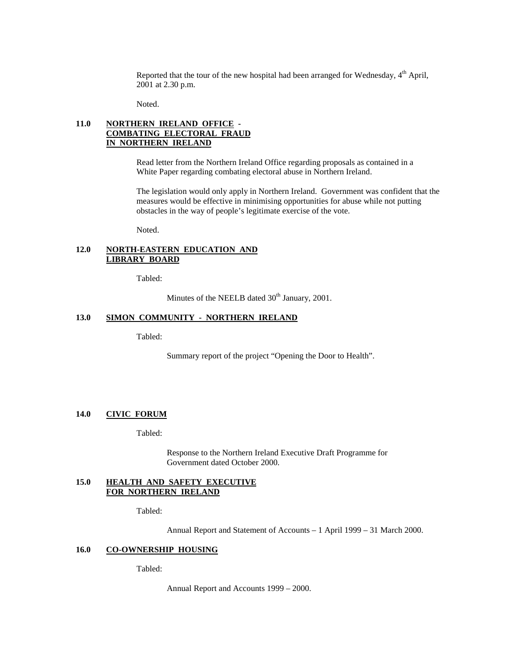Reported that the tour of the new hospital had been arranged for Wednesday,  $4<sup>th</sup>$  April, 2001 at 2.30 p.m.

Noted.

## **11.0 NORTHERN IRELAND OFFICE - COMBATING ELECTORAL FRAUD IN NORTHERN IRELAND**

Read letter from the Northern Ireland Office regarding proposals as contained in a White Paper regarding combating electoral abuse in Northern Ireland.

The legislation would only apply in Northern Ireland. Government was confident that the measures would be effective in minimising opportunities for abuse while not putting obstacles in the way of people's legitimate exercise of the vote.

Noted.

## **12.0 NORTH-EASTERN EDUCATION AND LIBRARY BOARD**

Tabled:

Minutes of the NEELB dated 30<sup>th</sup> January, 2001.

## **13.0 SIMON COMMUNITY - NORTHERN IRELAND**

Tabled:

Summary report of the project "Opening the Door to Health".

## **14.0 CIVIC FORUM**

Tabled:

Response to the Northern Ireland Executive Draft Programme for Government dated October 2000.

#### **15.0 HEALTH AND SAFETY EXECUTIVE FOR NORTHERN IRELAND**

Tabled:

Annual Report and Statement of Accounts – 1 April 1999 – 31 March 2000.

#### **16.0 CO-OWNERSHIP HOUSING**

Tabled:

Annual Report and Accounts 1999 – 2000.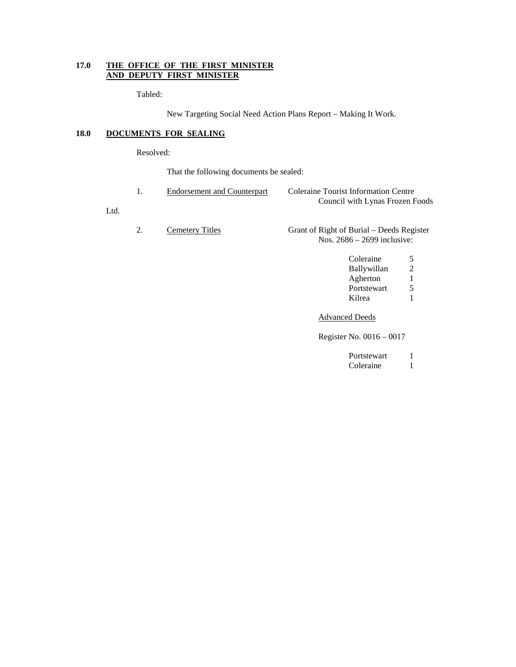## **17.0 THE OFFICE OF THE FIRST MINISTER AND DEPUTY FIRST MINISTER**

Tabled:

New Targeting Social Need Action Plans Report – Making It Work.

## **18.0 DOCUMENTS FOR SEALING**

Resolved:

Ltd.

That the following documents be sealed:

| 1. | <b>Endorsement and Counterpart</b> | Coleraine Tourist Information Centre<br>Council with Lynas Frozen Foods                  |
|----|------------------------------------|------------------------------------------------------------------------------------------|
| 2. | Cemetery Titles                    | Grant of Right of Burial – Deeds Register<br>Nos. $2686 - 2699$ inclusive:               |
|    |                                    | Coleraine<br>5<br>2<br><b>Ballywillan</b><br>1<br>Agherton<br>5<br>Portstewart<br>Kilrea |
|    |                                    | <b>Advanced Deeds</b>                                                                    |
|    |                                    | Register No. 0016 – 0017                                                                 |

Register No. 0016 – 0017

| Portstewart |  |
|-------------|--|
| Coleraine   |  |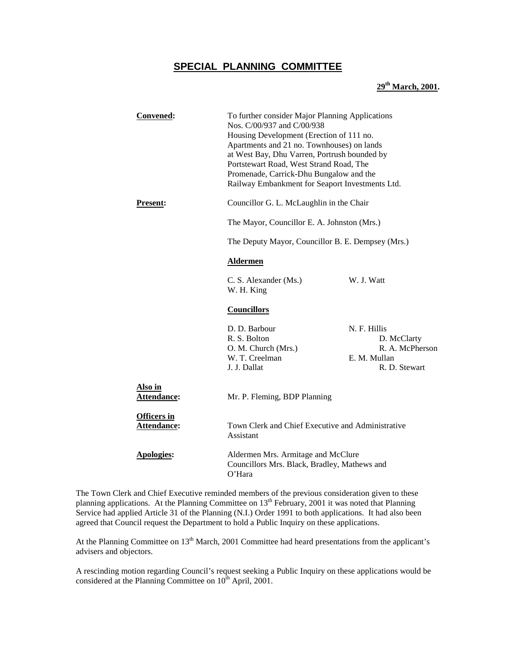## **SPECIAL PLANNING COMMITTEE**

## **29th March, 2001.**

| Convened:                                | To further consider Major Planning Applications<br>Nos. C/00/937 and C/00/938<br>Housing Development (Erection of 111 no.<br>Apartments and 21 no. Townhouses) on lands<br>at West Bay, Dhu Varren, Portrush bounded by<br>Portstewart Road, West Strand Road, The<br>Promenade, Carrick-Dhu Bungalow and the<br>Railway Embankment for Seaport Investments Ltd. |                                                                                 |  |
|------------------------------------------|------------------------------------------------------------------------------------------------------------------------------------------------------------------------------------------------------------------------------------------------------------------------------------------------------------------------------------------------------------------|---------------------------------------------------------------------------------|--|
| <b>Present:</b>                          | Councillor G. L. McLaughlin in the Chair                                                                                                                                                                                                                                                                                                                         |                                                                                 |  |
|                                          | The Mayor, Councillor E. A. Johnston (Mrs.)                                                                                                                                                                                                                                                                                                                      |                                                                                 |  |
|                                          | The Deputy Mayor, Councillor B. E. Dempsey (Mrs.)                                                                                                                                                                                                                                                                                                                |                                                                                 |  |
|                                          | <b>Aldermen</b>                                                                                                                                                                                                                                                                                                                                                  |                                                                                 |  |
|                                          | C. S. Alexander (Ms.)<br>W. H. King                                                                                                                                                                                                                                                                                                                              | W. J. Watt                                                                      |  |
|                                          | <b>Councillors</b>                                                                                                                                                                                                                                                                                                                                               |                                                                                 |  |
|                                          | D. D. Barbour<br>R. S. Bolton<br>O. M. Church (Mrs.)<br>W. T. Creelman<br>J. J. Dallat                                                                                                                                                                                                                                                                           | N. F. Hillis<br>D. McClarty<br>R. A. McPherson<br>E. M. Mullan<br>R. D. Stewart |  |
| Also in<br>Attendance:                   | Mr. P. Fleming, BDP Planning                                                                                                                                                                                                                                                                                                                                     |                                                                                 |  |
| <b>Officers in</b><br><b>Attendance:</b> | Assistant                                                                                                                                                                                                                                                                                                                                                        | Town Clerk and Chief Executive and Administrative                               |  |
| <b>Apologies:</b>                        | Aldermen Mrs. Armitage and McClure<br>Councillors Mrs. Black, Bradley, Mathews and<br>O'Hara                                                                                                                                                                                                                                                                     |                                                                                 |  |

The Town Clerk and Chief Executive reminded members of the previous consideration given to these planning applications. At the Planning Committee on 13<sup>th</sup> February, 2001 it was noted that Planning Service had applied Article 31 of the Planning (N.I.) Order 1991 to both applications. It had also been agreed that Council request the Department to hold a Public Inquiry on these applications.

At the Planning Committee on 13<sup>th</sup> March, 2001 Committee had heard presentations from the applicant's advisers and objectors.

A rescinding motion regarding Council's request seeking a Public Inquiry on these applications would be considered at the Planning Committee on  $10^{th}$  April, 2001.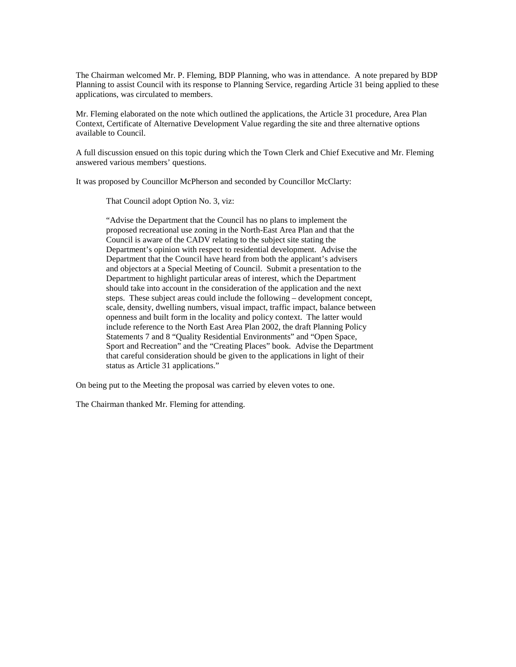The Chairman welcomed Mr. P. Fleming, BDP Planning, who was in attendance. A note prepared by BDP Planning to assist Council with its response to Planning Service, regarding Article 31 being applied to these applications, was circulated to members.

Mr. Fleming elaborated on the note which outlined the applications, the Article 31 procedure, Area Plan Context, Certificate of Alternative Development Value regarding the site and three alternative options available to Council.

A full discussion ensued on this topic during which the Town Clerk and Chief Executive and Mr. Fleming answered various members' questions.

It was proposed by Councillor McPherson and seconded by Councillor McClarty:

That Council adopt Option No. 3, viz:

"Advise the Department that the Council has no plans to implement the proposed recreational use zoning in the North-East Area Plan and that the Council is aware of the CADV relating to the subject site stating the Department's opinion with respect to residential development. Advise the Department that the Council have heard from both the applicant's advisers and objectors at a Special Meeting of Council. Submit a presentation to the Department to highlight particular areas of interest, which the Department should take into account in the consideration of the application and the next steps. These subject areas could include the following – development concept, scale, density, dwelling numbers, visual impact, traffic impact, balance between openness and built form in the locality and policy context. The latter would include reference to the North East Area Plan 2002, the draft Planning Policy Statements 7 and 8 "Quality Residential Environments" and "Open Space, Sport and Recreation" and the "Creating Places" book. Advise the Department that careful consideration should be given to the applications in light of their status as Article 31 applications."

On being put to the Meeting the proposal was carried by eleven votes to one.

The Chairman thanked Mr. Fleming for attending.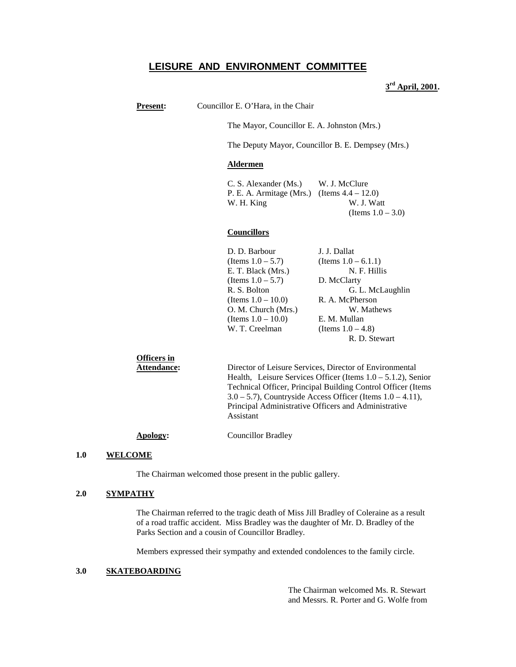## **LEISURE AND ENVIRONMENT COMMITTEE**

**3rd April, 2001.**

**Present:** Councillor E. O'Hara, in the Chair

The Mayor, Councillor E. A. Johnston (Mrs.)

The Deputy Mayor, Councillor B. E. Dempsey (Mrs.)

#### **Aldermen**

C. S. Alexander (Ms.) W. J. McClure P. E. A. Armitage (Mrs.) (Items 4.4 – 12.0) W. H. King W. J. Watt (Items  $1.0 - 3.0$ )

## **Councillors**

| D. D. Barbour         | J. J. Dallat           |
|-----------------------|------------------------|
| (Items $1.0 - 5.7$ )  | (Items $1.0 - 6.1.1$ ) |
| E. T. Black (Mrs.)    | N. F. Hillis           |
| (Items $1.0 - 5.7$ )  | D. McClarty            |
| R. S. Bolton          | G. L. McLaughlin       |
| (Items $1.0 - 10.0$ ) | R. A. McPherson        |
| O. M. Church (Mrs.)   | W. Mathews             |
| (Items $1.0 - 10.0$ ) | E. M. Mullan           |
| W. T. Creelman        | (Items $1.0 - 4.8$ )   |
|                       | R. D. Stewart          |

## **Officers in**

**Attendance:** Director of Leisure Services, Director of Environmental Health, Leisure Services Officer (Items  $1.0 - 5.1.2$ ), Senior Technical Officer, Principal Building Control Officer (Items  $3.0 - 5.7$ ), Countryside Access Officer (Items  $1.0 - 4.11$ ), Principal Administrative Officers and Administrative Assistant

**Apology:** Councillor Bradley

#### **1.0 WELCOME**

The Chairman welcomed those present in the public gallery.

#### **2.0 SYMPATHY**

The Chairman referred to the tragic death of Miss Jill Bradley of Coleraine as a result of a road traffic accident. Miss Bradley was the daughter of Mr. D. Bradley of the Parks Section and a cousin of Councillor Bradley.

Members expressed their sympathy and extended condolences to the family circle.

#### **3.0 SKATEBOARDING**

The Chairman welcomed Ms. R. Stewart and Messrs. R. Porter and G. Wolfe from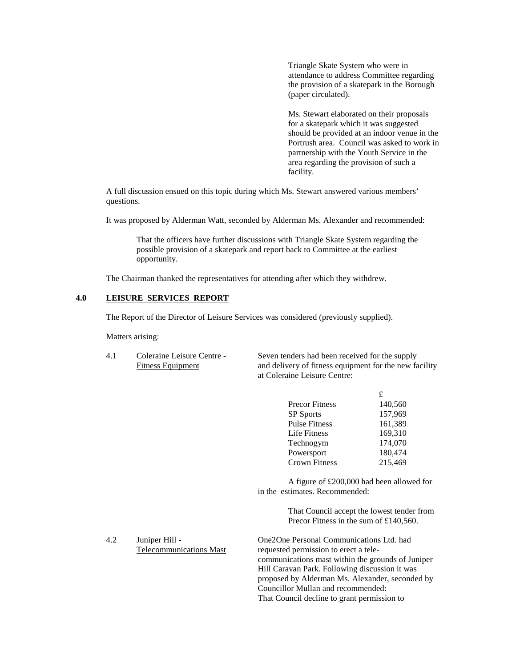Triangle Skate System who were in attendance to address Committee regarding the provision of a skatepark in the Borough (paper circulated).

Ms. Stewart elaborated on their proposals for a skatepark which it was suggested should be provided at an indoor venue in the Portrush area. Council was asked to work in partnership with the Youth Service in the area regarding the provision of such a facility.

A full discussion ensued on this topic during which Ms. Stewart answered various members' questions.

It was proposed by Alderman Watt, seconded by Alderman Ms. Alexander and recommended:

That the officers have further discussions with Triangle Skate System regarding the possible provision of a skatepark and report back to Committee at the earliest opportunity.

The Chairman thanked the representatives for attending after which they withdrew.

## **4.0 LEISURE SERVICES REPORT**

The Report of the Director of Leisure Services was considered (previously supplied).

Matters arising:

4.1 Coleraine Leisure Centre - Seven tenders had been received for the supply Fitness Equipment and delivery of fitness equipment for the new facility at Coleraine Leisure Centre:

|                       | £       |
|-----------------------|---------|
| <b>Precor Fitness</b> | 140,560 |
| <b>SP</b> Sports      | 157,969 |
| <b>Pulse Fitness</b>  | 161,389 |
| Life Fitness          | 169,310 |
| Technogym             | 174,070 |
| Powersport            | 180,474 |
| <b>Crown Fitness</b>  | 215,469 |

A figure of £200,000 had been allowed for in the estimates. Recommended:

> That Council accept the lowest tender from Precor Fitness in the sum of £140,560.

4.2 Juniper Hill - One2One Personal Communications Ltd. had Telecommunications Mast requested permission to erect a telecommunications mast within the grounds of Juniper Hill Caravan Park. Following discussion it was proposed by Alderman Ms. Alexander, seconded by Councillor Mullan and recommended: That Council decline to grant permission to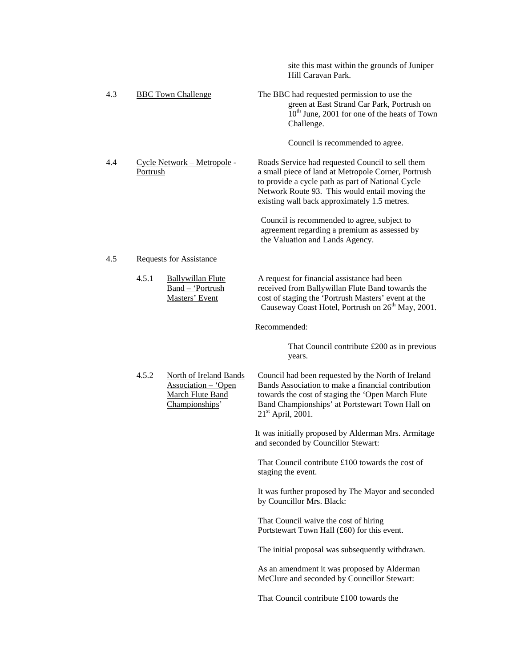|     |                                         |                                                                                            | site this mast within the grounds of Juniper<br>Hill Caravan Park.                                                                                                                                                                                             |
|-----|-----------------------------------------|--------------------------------------------------------------------------------------------|----------------------------------------------------------------------------------------------------------------------------------------------------------------------------------------------------------------------------------------------------------------|
| 4.3 |                                         | <b>BBC Town Challenge</b>                                                                  | The BBC had requested permission to use the<br>green at East Strand Car Park, Portrush on<br>$10^{th}$ June, 2001 for one of the heats of Town<br>Challenge.                                                                                                   |
|     |                                         |                                                                                            | Council is recommended to agree.                                                                                                                                                                                                                               |
| 4.4 | Cycle Network - Metropole -<br>Portrush |                                                                                            | Roads Service had requested Council to sell them<br>a small piece of land at Metropole Corner, Portrush<br>to provide a cycle path as part of National Cycle<br>Network Route 93. This would entail moving the<br>existing wall back approximately 1.5 metres. |
|     |                                         |                                                                                            | Council is recommended to agree, subject to<br>agreement regarding a premium as assessed by<br>the Valuation and Lands Agency.                                                                                                                                 |
| 4.5 |                                         | <b>Requests for Assistance</b>                                                             |                                                                                                                                                                                                                                                                |
|     | 4.5.1                                   | <b>Ballywillan Flute</b><br>Band - 'Portrush<br>Masters' Event                             | A request for financial assistance had been<br>received from Ballywillan Flute Band towards the<br>cost of staging the 'Portrush Masters' event at the<br>Causeway Coast Hotel, Portrush on 26 <sup>th</sup> May, 2001.                                        |
|     |                                         |                                                                                            | Recommended:                                                                                                                                                                                                                                                   |
|     |                                         |                                                                                            | That Council contribute £200 as in previous<br>years.                                                                                                                                                                                                          |
|     | 4.5.2                                   | <b>North of Ireland Bands</b><br>Association - 'Open<br>March Flute Band<br>Championships' | Council had been requested by the North of Ireland<br>Bands Association to make a financial contribution<br>towards the cost of staging the 'Open March Flute<br>Band Championships' at Portstewart Town Hall on<br>$21st$ April, 2001.                        |
|     |                                         |                                                                                            | It was initially proposed by Alderman Mrs. Armitage<br>and seconded by Councillor Stewart:                                                                                                                                                                     |
|     |                                         |                                                                                            | That Council contribute £100 towards the cost of<br>staging the event.                                                                                                                                                                                         |
|     |                                         |                                                                                            | It was further proposed by The Mayor and seconded<br>by Councillor Mrs. Black:                                                                                                                                                                                 |
|     |                                         |                                                                                            | That Council waive the cost of hiring<br>Portstewart Town Hall (£60) for this event.                                                                                                                                                                           |
|     |                                         |                                                                                            | The initial proposal was subsequently withdrawn.                                                                                                                                                                                                               |
|     |                                         |                                                                                            | As an amendment it was proposed by Alderman<br>McClure and seconded by Councillor Stewart:                                                                                                                                                                     |
|     |                                         |                                                                                            | That Council contribute £100 towards the                                                                                                                                                                                                                       |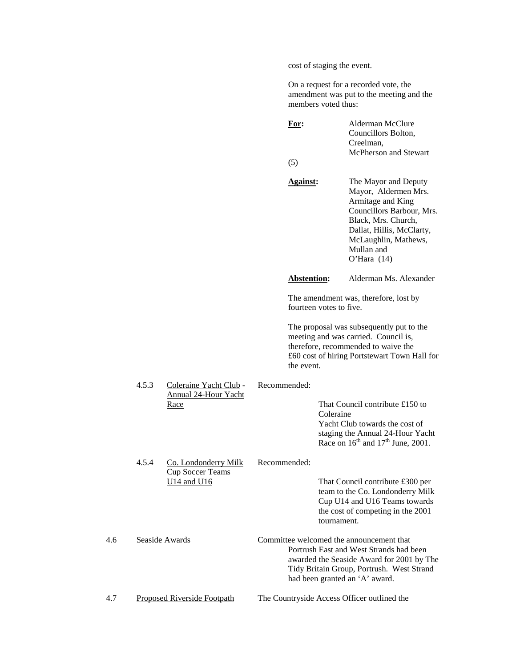cost of staging the event.

On a request for a recorded vote, the amendment was put to the meeting and the members voted thus:

|     |                                            |                                    | For:<br>(5)        | Alderman McClure<br>Councillors Bolton,<br>Creelman,<br>McPherson and Stewart                                                                                                                                   |
|-----|--------------------------------------------|------------------------------------|--------------------|-----------------------------------------------------------------------------------------------------------------------------------------------------------------------------------------------------------------|
|     |                                            |                                    | <b>Against:</b>    | The Mayor and Deputy<br>Mayor, Aldermen Mrs.<br>Armitage and King<br>Councillors Barbour, Mrs.<br>Black, Mrs. Church,<br>Dallat, Hillis, McClarty,<br>McLaughlin, Mathews,<br>Mullan and<br>O'Hara $(14)$       |
|     |                                            |                                    | <b>Abstention:</b> | Alderman Ms. Alexander                                                                                                                                                                                          |
|     |                                            |                                    |                    | The amendment was, therefore, lost by<br>fourteen votes to five.                                                                                                                                                |
|     |                                            |                                    | the event.         | The proposal was subsequently put to the<br>meeting and was carried. Council is,<br>therefore, recommended to waive the<br>£60 cost of hiring Portstewart Town Hall for                                         |
|     | 4.5.3                                      | Coleraine Yacht Club -             | Recommended:       |                                                                                                                                                                                                                 |
|     | <b>Annual 24-Hour Yacht</b><br>Race        |                                    |                    | That Council contribute £150 to<br>Coleraine<br>Yacht Club towards the cost of<br>staging the Annual 24-Hour Yacht<br>Race on $16^{th}$ and $17^{th}$ June, 2001.                                               |
|     | 4.5.4                                      | Co. Londonderry Milk               | Recommended:       |                                                                                                                                                                                                                 |
|     | <b>Cup Soccer Teams</b><br>$U14$ and $U16$ |                                    |                    | That Council contribute £300 per<br>team to the Co. Londonderry Milk<br>Cup U14 and U16 Teams towards<br>the cost of competing in the 2001<br>tournament.                                                       |
| 4.6 |                                            | Seaside Awards                     |                    | Committee welcomed the announcement that<br>Portrush East and West Strands had been<br>awarded the Seaside Award for 2001 by The<br>Tidy Britain Group, Portrush. West Strand<br>had been granted an 'A' award. |
| 4.7 |                                            | <b>Proposed Riverside Footpath</b> |                    | The Countryside Access Officer outlined the                                                                                                                                                                     |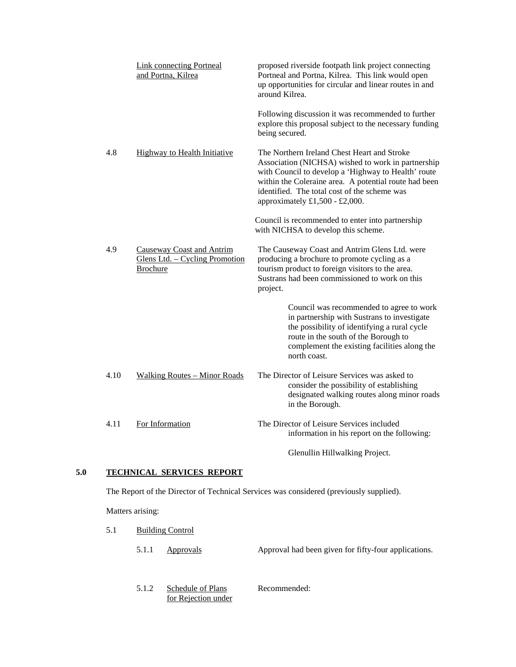|      | <b>Link connecting Portneal</b><br>and Portna, Kilrea                                 | proposed riverside footpath link project connecting<br>Portneal and Portna, Kilrea. This link would open<br>up opportunities for circular and linear routes in and<br>around Kilrea.                                                                                                                |
|------|---------------------------------------------------------------------------------------|-----------------------------------------------------------------------------------------------------------------------------------------------------------------------------------------------------------------------------------------------------------------------------------------------------|
|      |                                                                                       | Following discussion it was recommended to further<br>explore this proposal subject to the necessary funding<br>being secured.                                                                                                                                                                      |
| 4.8  | <b>Highway to Health Initiative</b>                                                   | The Northern Ireland Chest Heart and Stroke<br>Association (NICHSA) wished to work in partnership<br>with Council to develop a 'Highway to Health' route<br>within the Coleraine area. A potential route had been<br>identified. The total cost of the scheme was<br>approximately £1,500 - £2,000. |
|      |                                                                                       | Council is recommended to enter into partnership<br>with NICHSA to develop this scheme.                                                                                                                                                                                                             |
| 4.9  | <b>Causeway Coast and Antrim</b><br>Glens Ltd. - Cycling Promotion<br><b>Brochure</b> | The Causeway Coast and Antrim Glens Ltd. were<br>producing a brochure to promote cycling as a<br>tourism product to foreign visitors to the area.<br>Sustrans had been commissioned to work on this<br>project.                                                                                     |
|      |                                                                                       | Council was recommended to agree to work<br>in partnership with Sustrans to investigate<br>the possibility of identifying a rural cycle<br>route in the south of the Borough to<br>complement the existing facilities along the<br>north coast.                                                     |
| 4.10 | <b>Walking Routes - Minor Roads</b>                                                   | The Director of Leisure Services was asked to<br>consider the possibility of establishing<br>designated walking routes along minor roads<br>in the Borough.                                                                                                                                         |
| 4.11 | For Information                                                                       | The Director of Leisure Services included<br>information in his report on the following:                                                                                                                                                                                                            |
|      |                                                                                       | Glenullin Hillwalking Project.                                                                                                                                                                                                                                                                      |

## **5.0 TECHNICAL SERVICES REPORT**

The Report of the Director of Technical Services was considered (previously supplied).

Matters arising:

- 5.1 Building Control
	- 5.1.1 Approvals Approval had been given for fifty-four applications.
	- 5.1.2 Schedule of Plans Recommended: for Rejection under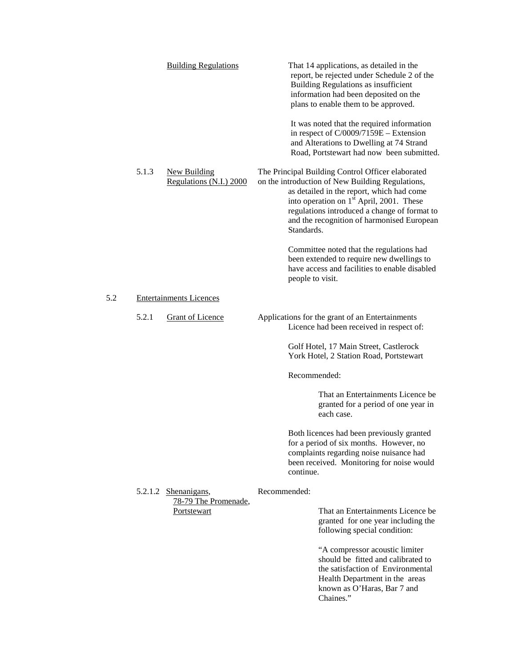|             | <b>Building Regulations</b>                    |                  | That 14 applications, as detailed in the<br>report, be rejected under Schedule 2 of the<br>Building Regulations as insufficient<br>information had been deposited on the<br>plans to enable them to be approved.                                                                                         |
|-------------|------------------------------------------------|------------------|----------------------------------------------------------------------------------------------------------------------------------------------------------------------------------------------------------------------------------------------------------------------------------------------------------|
|             |                                                |                  | It was noted that the required information<br>in respect of C/0009/7159E - Extension<br>and Alterations to Dwelling at 74 Strand<br>Road, Portstewart had now been submitted.                                                                                                                            |
| 5.1.3       | <b>New Building</b><br>Regulations (N.I.) 2000 | Standards.       | The Principal Building Control Officer elaborated<br>on the introduction of New Building Regulations,<br>as detailed in the report, which had come<br>into operation on 1 <sup>st</sup> April, 2001. These<br>regulations introduced a change of format to<br>and the recognition of harmonised European |
|             |                                                | people to visit. | Committee noted that the regulations had<br>been extended to require new dwellings to<br>have access and facilities to enable disabled                                                                                                                                                                   |
|             | <b>Entertainments Licences</b>                 |                  |                                                                                                                                                                                                                                                                                                          |
| 5.2.1       | <b>Grant of Licence</b>                        |                  | Applications for the grant of an Entertainments<br>Licence had been received in respect of:                                                                                                                                                                                                              |
|             |                                                |                  | Golf Hotel, 17 Main Street, Castlerock<br>York Hotel, 2 Station Road, Portstewart                                                                                                                                                                                                                        |
|             |                                                | Recommended:     |                                                                                                                                                                                                                                                                                                          |
|             |                                                |                  | That an Entertainments Licence be.<br>granted for a period of one year in<br>each case.                                                                                                                                                                                                                  |
|             |                                                | continue.        | Both licences had been previously granted<br>for a period of six months. However, no<br>complaints regarding noise nuisance had<br>been received. Monitoring for noise would                                                                                                                             |
| 5.2.1.2     | Shenanigans,                                   | Recommended:     |                                                                                                                                                                                                                                                                                                          |
| Portstewart | 78-79 The Promenade,                           |                  | That an Entertainments Licence be<br>granted for one year including the<br>following special condition:                                                                                                                                                                                                  |
|             |                                                |                  | "A compressor acoustic limiter<br>should be fitted and calibrated to<br>the satisfaction of Environmental<br>Health Department in the areas<br>known as O'Haras, Bar 7 and<br>Chaines."                                                                                                                  |

 $5.2$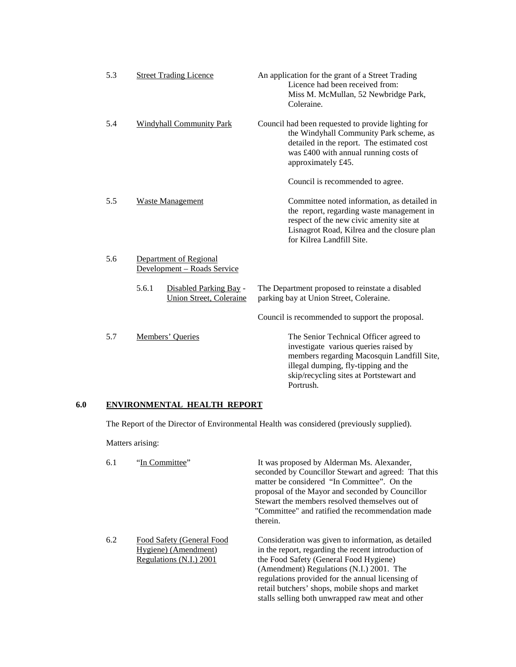| 5.3 | <b>Street Trading Licence</b>                                     | An application for the grant of a Street Trading<br>Licence had been received from:<br>Miss M. McMullan, 52 Newbridge Park,<br>Coleraine.                                                                                     |
|-----|-------------------------------------------------------------------|-------------------------------------------------------------------------------------------------------------------------------------------------------------------------------------------------------------------------------|
| 5.4 | <b>Windyhall Community Park</b>                                   | Council had been requested to provide lighting for<br>the Windyhall Community Park scheme, as<br>detailed in the report. The estimated cost<br>was £400 with annual running costs of<br>approximately £45.                    |
|     |                                                                   | Council is recommended to agree.                                                                                                                                                                                              |
| 5.5 | Waste Management                                                  | Committee noted information, as detailed in<br>the report, regarding waste management in<br>respect of the new civic amenity site at<br>Lisnagrot Road, Kilrea and the closure plan<br>for Kilrea Landfill Site.              |
| 5.6 | Department of Regional<br>Development - Roads Service             |                                                                                                                                                                                                                               |
|     | 5.6.1<br>Disabled Parking Bay -<br><b>Union Street, Coleraine</b> | The Department proposed to reinstate a disabled<br>parking bay at Union Street, Coleraine.                                                                                                                                    |
|     |                                                                   | Council is recommended to support the proposal.                                                                                                                                                                               |
| 5.7 | Members' Queries                                                  | The Senior Technical Officer agreed to<br>investigate various queries raised by<br>members regarding Macosquin Landfill Site,<br>illegal dumping, fly-tipping and the<br>skip/recycling sites at Portstewart and<br>Portrush. |

## **6.0 ENVIRONMENTAL HEALTH REPORT**

The Report of the Director of Environmental Health was considered (previously supplied).

Matters arising:

| 6.1 | "In Committee"                                                               | It was proposed by Alderman Ms. Alexander,<br>seconded by Councillor Stewart and agreed: That this<br>matter be considered "In Committee". On the<br>proposal of the Mayor and seconded by Councillor<br>Stewart the members resolved themselves out of<br>"Committee" and ratified the recommendation made<br>therein.                                     |
|-----|------------------------------------------------------------------------------|-------------------------------------------------------------------------------------------------------------------------------------------------------------------------------------------------------------------------------------------------------------------------------------------------------------------------------------------------------------|
| 6.2 | Food Safety (General Food<br>Hygiene) (Amendment)<br>Regulations (N.I.) 2001 | Consideration was given to information, as detailed<br>in the report, regarding the recent introduction of<br>the Food Safety (General Food Hygiene)<br>(Amendment) Regulations (N.I.) 2001. The<br>regulations provided for the annual licensing of<br>retail butchers' shops, mobile shops and market<br>stalls selling both unwrapped raw meat and other |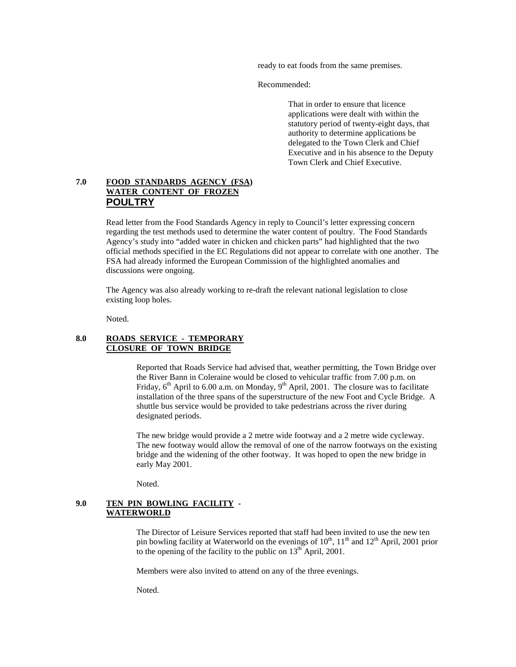ready to eat foods from the same premises.

Recommended:

That in order to ensure that licence applications were dealt with within the statutory period of twenty-eight days, that authority to determine applications be delegated to the Town Clerk and Chief Executive and in his absence to the Deputy Town Clerk and Chief Executive.

## **7.0 FOOD STANDARDS AGENCY (FSA) WATER CONTENT OF FROZEN POULTRY**

Read letter from the Food Standards Agency in reply to Council's letter expressing concern regarding the test methods used to determine the water content of poultry. The Food Standards Agency's study into "added water in chicken and chicken parts" had highlighted that the two official methods specified in the EC Regulations did not appear to correlate with one another. The FSA had already informed the European Commission of the highlighted anomalies and discussions were ongoing.

The Agency was also already working to re-draft the relevant national legislation to close existing loop holes.

Noted.

## **8.0 ROADS SERVICE - TEMPORARY CLOSURE OF TOWN BRIDGE**

Reported that Roads Service had advised that, weather permitting, the Town Bridge over the River Bann in Coleraine would be closed to vehicular traffic from 7.00 p.m. on Friday,  $6<sup>th</sup>$  April to 6.00 a.m. on Monday,  $9<sup>th</sup>$  April, 2001. The closure was to facilitate installation of the three spans of the superstructure of the new Foot and Cycle Bridge. A shuttle bus service would be provided to take pedestrians across the river during designated periods.

The new bridge would provide a 2 metre wide footway and a 2 metre wide cycleway. The new footway would allow the removal of one of the narrow footways on the existing bridge and the widening of the other footway. It was hoped to open the new bridge in early May 2001.

Noted.

### **9.0 TEN PIN BOWLING FACILITY - WATERWORLD**

The Director of Leisure Services reported that staff had been invited to use the new ten pin bowling facility at Waterworld on the evenings of  $10^{th}$ ,  $11^{th}$  and  $12^{th}$  April, 2001 prior to the opening of the facility to the public on  $13<sup>th</sup>$  April, 2001.

Members were also invited to attend on any of the three evenings.

Noted.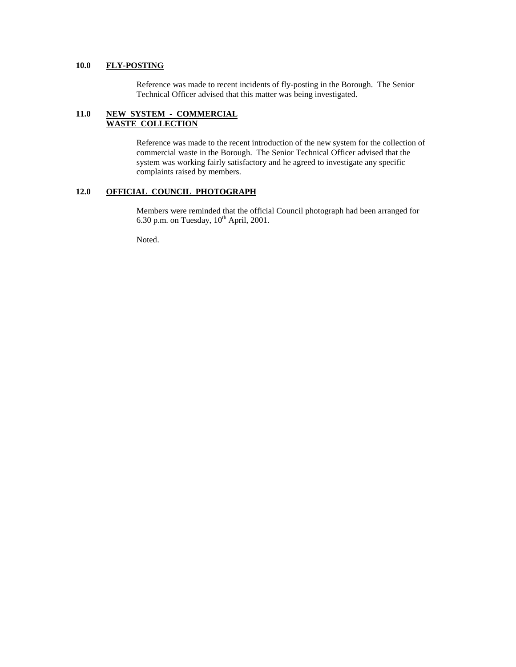## **10.0 FLY-POSTING**

Reference was made to recent incidents of fly-posting in the Borough. The Senior Technical Officer advised that this matter was being investigated.

## **11.0 NEW SYSTEM - COMMERCIAL WASTE COLLECTION**

Reference was made to the recent introduction of the new system for the collection of commercial waste in the Borough. The Senior Technical Officer advised that the system was working fairly satisfactory and he agreed to investigate any specific complaints raised by members.

## **12.0 OFFICIAL COUNCIL PHOTOGRAPH**

Members were reminded that the official Council photograph had been arranged for 6.30 p.m. on Tuesday,  $10^{th}$  April, 2001.

Noted.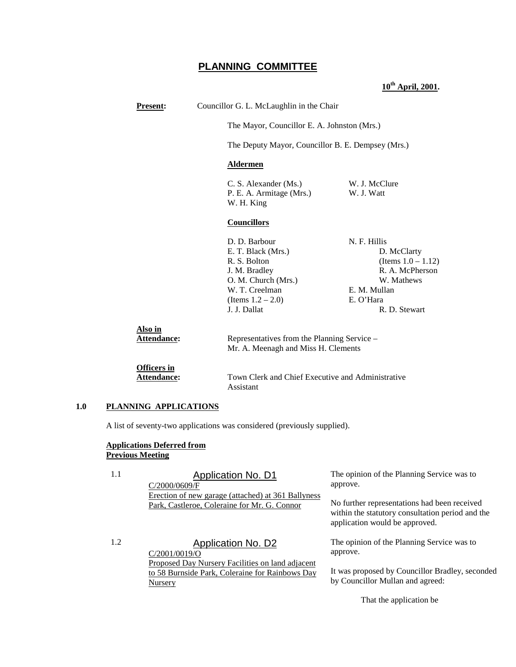## **PLANNING COMMITTEE**

### **10th April, 2001.**

| <b>Present:</b>                   |                                                                                                                                                       | Councillor G. L. McLaughlin in the Chair                                                                                            |  |
|-----------------------------------|-------------------------------------------------------------------------------------------------------------------------------------------------------|-------------------------------------------------------------------------------------------------------------------------------------|--|
|                                   |                                                                                                                                                       | The Mayor, Councillor E. A. Johnston (Mrs.)                                                                                         |  |
|                                   |                                                                                                                                                       | The Deputy Mayor, Councillor B. E. Dempsey (Mrs.)                                                                                   |  |
|                                   | <b>Aldermen</b>                                                                                                                                       |                                                                                                                                     |  |
|                                   | C. S. Alexander (Ms.)<br>P. E. A. Armitage (Mrs.)<br>W. H. King                                                                                       | W. J. McClure<br>W. J. Watt                                                                                                         |  |
|                                   | <b>Councillors</b>                                                                                                                                    |                                                                                                                                     |  |
|                                   | D. D. Barbour<br>E. T. Black (Mrs.)<br>R. S. Bolton<br>J. M. Bradley<br>O. M. Church (Mrs.)<br>W. T. Creelman<br>(Items $1.2 - 2.0$ )<br>J. J. Dallat | N. F. Hillis<br>D. McClarty<br>(Items $1.0 - 1.12$ )<br>R. A. McPherson<br>W. Mathews<br>E. M. Mullan<br>E. O'Hara<br>R. D. Stewart |  |
| Also in<br>Attendance:            | Representatives from the Planning Service -<br>Mr. A. Meenagh and Miss H. Clements                                                                    |                                                                                                                                     |  |
| Officers in<br><b>Attendance:</b> | Assistant                                                                                                                                             | Town Clerk and Chief Executive and Administrative                                                                                   |  |

#### **1.0 PLANNING APPLICATIONS**

A list of seventy-two applications was considered (previously supplied).

### **Applications Deferred from Previous Meeting**

C/2001/0019/O

**Nursery** 

1.1 **Application No. D1** C/2000/0609/F Erection of new garage (attached) at 361 Ballyness Park, Castleroe, Coleraine for Mr. G. Connor

> Proposed Day Nursery Facilities on land adjacent to 58 Burnside Park, Coleraine for Rainbows Day

The opinion of the Planning Service was to approve.

No further representations had been received within the statutory consultation period and the application would be approved.

The opinion of the Planning Service was to approve.

It was proposed by Councillor Bradley, seconded by Councillor Mullan and agreed:

That the application be

1.2 Application No. D2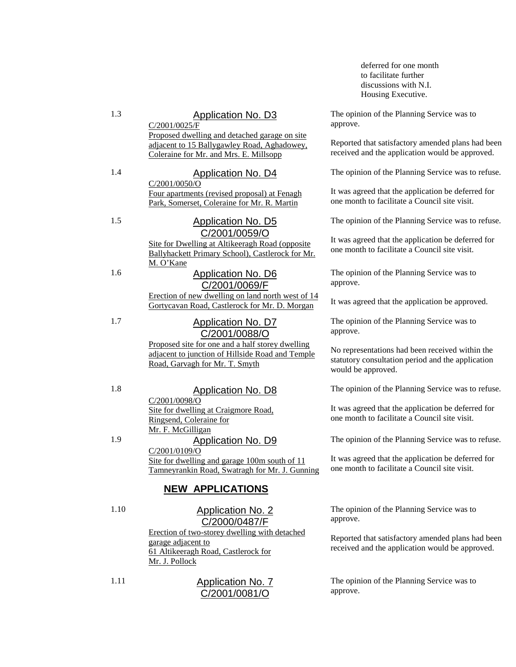deferred for one month to facilitate further discussions with N.I. Housing Executive.

The opinion of the Planning Service was to approve.

Reported that satisfactory amended plans had been received and the application would be approved.

The opinion of the Planning Service was to refuse.

It was agreed that the application be deferred for one month to facilitate a Council site visit.

The opinion of the Planning Service was to refuse.

It was agreed that the application be deferred for one month to facilitate a Council site visit.

The opinion of the Planning Service was to approve.

It was agreed that the application be approved.

The opinion of the Planning Service was to approve.

No representations had been received within the statutory consultation period and the application would be approved.

The opinion of the Planning Service was to refuse.

It was agreed that the application be deferred for one month to facilitate a Council site visit.

The opinion of the Planning Service was to refuse.

It was agreed that the application be deferred for one month to facilitate a Council site visit.

The opinion of the Planning Service was to approve.

Reported that satisfactory amended plans had been received and the application would be approved.

The opinion of the Planning Service was to approve.

1.3 Application No. D3

C/2001/0025/F Proposed dwelling and detached garage on site adjacent to 15 Ballygawley Road, Aghadowey, Coleraine for Mr. and Mrs. E. Millsopp

## 1.4 Application No. D4

C/2001/0050/O Four apartments (revised proposal) at Fenagh Park, Somerset, Coleraine for Mr. R. Martin

1.5 Application No. D5

## C/2001/0059/O

Site for Dwelling at Altikeeragh Road (opposite Ballyhackett Primary School), Castlerock for Mr. M. O'Kane

1.6 Application No. D6

## C/2001/0069/F

Erection of new dwelling on land north west of 14 Gortycavan Road, Castlerock for Mr. D. Morgan

## 1.7 Application No. D7 C/2001/0088/O

Proposed site for one and a half storey dwelling adjacent to junction of Hillside Road and Temple Road, Garvagh for Mr. T. Smyth

## 1.8 Application No. D8

C/2001/0098/O Site for dwelling at Craigmore Road, Ringsend, Coleraine for Mr. F. McGilligan

## 1.9 Application No. D9

C/2001/0109/O Site for dwelling and garage 100m south of 11 Tamneyrankin Road, Swatragh for Mr. J. Gunning

## **NEW APPLICATIONS**

## 1.10 Application No. 2 C/2000/0487/F

Erection of two-storey dwelling with detached garage adjacent to 61 Altikeeragh Road, Castlerock for Mr. J. Pollock

1.11 Application No. 7 C/2001/0081/O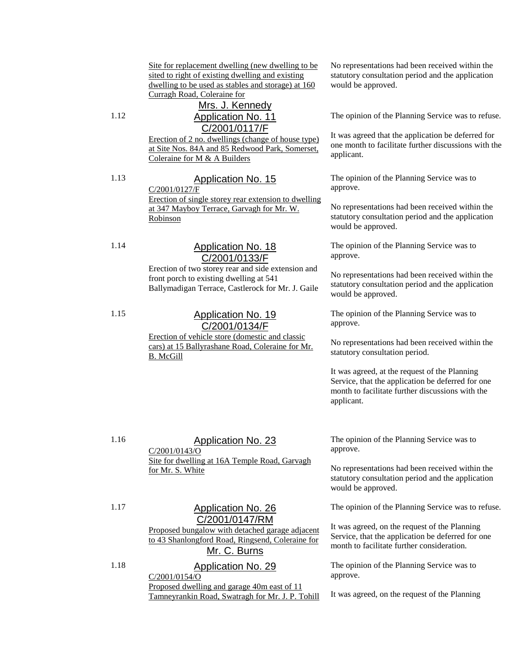Site for replacement dwelling (new dwelling to be sited to right of existing dwelling and existing dwelling to be used as stables and storage) at 160 Curragh Road, Coleraine for

## Mrs. J. Kennedy 1.12 Application No. 11 C/2001/0117/F

Erection of 2 no. dwellings (change of house type) at Site Nos. 84A and 85 Redwood Park, Somerset, Coleraine for M & A Builders

1.13 Application No. 15 C/2001/0127/F Erection of single storey rear extension to dwelling at 347 Mayboy Terrace, Garvagh for Mr. W. Robinson

1.14 Application No. 18 C/2001/0133/F

Erection of two storey rear and side extension and front porch to existing dwelling at 541 Ballymadigan Terrace, Castlerock for Mr. J. Gaile

## 1.15 **Application No. 19** C/2001/0134/F

Erection of vehicle store (domestic and classic cars) at 15 Ballyrashane Road, Coleraine for Mr. B. McGill

No representations had been received within the statutory consultation period and the application would be approved.

The opinion of the Planning Service was to refuse.

It was agreed that the application be deferred for one month to facilitate further discussions with the applicant.

The opinion of the Planning Service was to approve.

No representations had been received within the statutory consultation period and the application would be approved.

The opinion of the Planning Service was to approve.

No representations had been received within the statutory consultation period and the application would be approved.

The opinion of the Planning Service was to approve.

No representations had been received within the statutory consultation period.

It was agreed, at the request of the Planning Service, that the application be deferred for one month to facilitate further discussions with the applicant.

1.16 Application No. 23 C/2001/0143/O Site for dwelling at 16A Temple Road, Garvagh for Mr. S. White

The opinion of the Planning Service was to approve.

No representations had been received within the statutory consultation period and the application would be approved.

The opinion of the Planning Service was to refuse.

It was agreed, on the request of the Planning Service, that the application be deferred for one month to facilitate further consideration.

The opinion of the Planning Service was to approve.

It was agreed, on the request of the Planning

## 1.17 Application No. 26 C/2001/0147/RM

Proposed bungalow with detached garage adjacent to 43 Shanlongford Road, Ringsend, Coleraine for Mr. C. Burns

1.18 Application No. 29 C/2001/0154/O

Proposed dwelling and garage 40m east of 11 Tamneyrankin Road, Swatragh for Mr. J. P. Tohill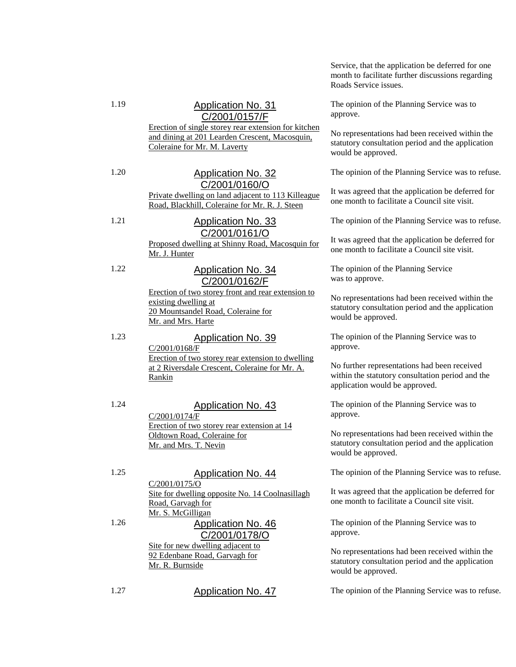Service, that the application be deferred for one month to facilitate further discussions regarding Roads Service issues.

The opinion of the Planning Service was to approve.

No representations had been received within the statutory consultation period and the application would be approved.

The opinion of the Planning Service was to refuse.

It was agreed that the application be deferred for one month to facilitate a Council site visit.

The opinion of the Planning Service was to refuse.

It was agreed that the application be deferred for one month to facilitate a Council site visit.

The opinion of the Planning Service was to approve.

No representations had been received within the statutory consultation period and the application would be approved.

The opinion of the Planning Service was to approve.

No further representations had been received within the statutory consultation period and the application would be approved.

The opinion of the Planning Service was to approve.

No representations had been received within the statutory consultation period and the application would be approved.

The opinion of the Planning Service was to refuse.

It was agreed that the application be deferred for one month to facilitate a Council site visit.

The opinion of the Planning Service was to approve.

No representations had been received within the statutory consultation period and the application would be approved.

1.19 Application No. 31

C/2001/0157/F

Erection of single storey rear extension for kitchen and dining at 201 Learden Crescent, Macosquin, Coleraine for Mr. M. Laverty

## 1.20 Application No. 32 C/2001/0160/O

Private dwelling on land adjacent to 113 Killeague Road, Blackhill, Coleraine for Mr. R. J. Steen

## 1.21 Application No. 33 C/2001/0161/O

Proposed dwelling at Shinny Road, Macosquin for Mr. J. Hunter

## 1.22 Application No. 34 C/2001/0162/F

Erection of two storey front and rear extension to existing dwelling at 20 Mountsandel Road, Coleraine for Mr. and Mrs. Harte

## 1.23 Application No. 39

C/2001/0168/F Erection of two storey rear extension to dwelling at 2 Riversdale Crescent, Coleraine for Mr. A. Rankin

## 1.24 Application No. 43

C/2001/0174/F Erection of two storey rear extension at 14 Oldtown Road, Coleraine for Mr. and Mrs. T. Nevin

## 1.25 Application No. 44

C/2001/0175/O Site for dwelling opposite No. 14 Coolnasillagh Road, Garvagh for Mr. S. McGilligan 1.26 Application No. 46

# C/2001/0178/O

Site for new dwelling adjacent to 92 Edenbane Road, Garvagh for Mr. R. Burnside

1.27 Application No. 47 The opinion of the Planning Service was to refuse.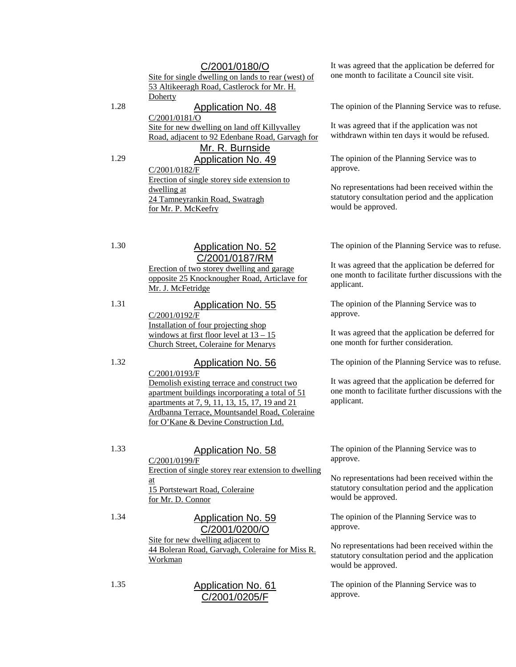## C/2001/0180/O

Site for single dwelling on lands to rear (west) of 53 Altikeeragh Road, Castlerock for Mr. H. **Doherty** 

## 1.28 Application No. 48

C/2001/0181/O Site for new dwelling on land off Killyvalley Road, adjacent to 92 Edenbane Road, Garvagh for

## Mr. R. Burnside 1.29 Application No. 49

C/2001/0182/F Erection of single storey side extension to dwelling at 24 Tamneyrankin Road, Swatragh for Mr. P. McKeefry

## 1.30 Application No. 52 C/2001/0187/RM

Erection of two storey dwelling and garage opposite 25 Knocknougher Road, Articlave for Mr. J. McFetridge

## 1.31 Application No. 55

C/2001/0192/F Installation of four projecting shop windows at first floor level at  $13 - 15$ Church Street, Coleraine for Menarys

## 1.32 Application No. 56

C/2001/0193/F Demolish existing terrace and construct two apartment buildings incorporating a total of 51 apartments at 7, 9, 11, 13, 15, 17, 19 and 21 Ardbanna Terrace, Mountsandel Road, Coleraine for O'Kane & Devine Construction Ltd.

## 1.33 Application No. 58

C/2001/0199/F Erection of single storey rear extension to dwelling at 15 Portstewart Road, Coleraine for Mr. D. Connor

## 1.34 Application No. 59

C/2001/0200/O Site for new dwelling adjacent to 44 Boleran Road, Garvagh, Coleraine for Miss R. Workman

1.35 Application No. 61 C/2001/0205/F

It was agreed that the application be deferred for one month to facilitate a Council site visit.

The opinion of the Planning Service was to refuse.

It was agreed that if the application was not withdrawn within ten days it would be refused.

The opinion of the Planning Service was to approve.

No representations had been received within the statutory consultation period and the application would be approved.

The opinion of the Planning Service was to refuse.

It was agreed that the application be deferred for one month to facilitate further discussions with the applicant.

The opinion of the Planning Service was to approve.

It was agreed that the application be deferred for one month for further consideration.

The opinion of the Planning Service was to refuse.

It was agreed that the application be deferred for one month to facilitate further discussions with the applicant.

The opinion of the Planning Service was to approve.

No representations had been received within the statutory consultation period and the application would be approved.

The opinion of the Planning Service was to approve.

No representations had been received within the statutory consultation period and the application would be approved.

The opinion of the Planning Service was to approve.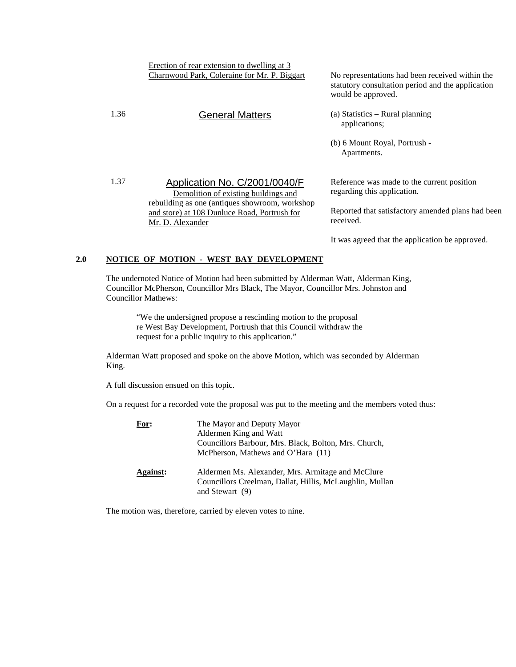Erection of rear extension to dwelling at 3

Demolition of existing buildings and rebuilding as one (antiques showroom, workshop and store) at 108 Dunluce Road, Portrush for

Charnwood Park, Coleraine for Mr. P. Biggart No representations had been received within the statutory consultation period and the application would be approved.

- 1.36 General Matters (a) Statistics Rural planning applications;
	- (b) 6 Mount Royal, Portrush Apartments.

Reference was made to the current position regarding this application.

Reported that satisfactory amended plans had been received.

It was agreed that the application be approved.

## **2.0 NOTICE OF MOTION - WEST BAY DEVELOPMENT**

Mr. D. Alexander

1.37 Application No. C/2001/0040/F

The undernoted Notice of Motion had been submitted by Alderman Watt, Alderman King, Councillor McPherson, Councillor Mrs Black, The Mayor, Councillor Mrs. Johnston and Councillor Mathews:

"We the undersigned propose a rescinding motion to the proposal re West Bay Development, Portrush that this Council withdraw the request for a public inquiry to this application."

Alderman Watt proposed and spoke on the above Motion, which was seconded by Alderman King.

A full discussion ensued on this topic.

On a request for a recorded vote the proposal was put to the meeting and the members voted thus:

| For:            | The Mayor and Deputy Mayor<br>Aldermen King and Watt<br>Councillors Barbour, Mrs. Black, Bolton, Mrs. Church,<br>McPherson, Mathews and O'Hara $(11)$ |
|-----------------|-------------------------------------------------------------------------------------------------------------------------------------------------------|
| <b>Against:</b> | Aldermen Ms. Alexander, Mrs. Armitage and McClure<br>Councillors Creelman, Dallat, Hillis, McLaughlin, Mullan<br>and Stewart $(9)$                    |

The motion was, therefore, carried by eleven votes to nine.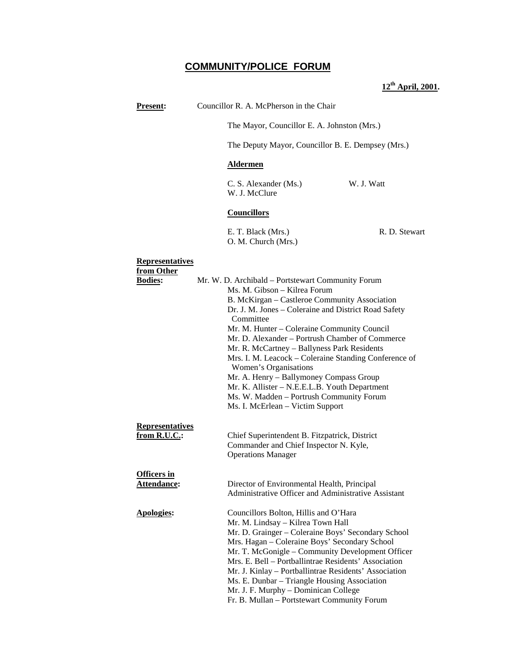## **COMMUNITY/POLICE FORUM**

## **12th April, 2001.**

**Present:** Councillor R. A. McPherson in the Chair

The Mayor, Councillor E. A. Johnston (Mrs.)

The Deputy Mayor, Councillor B. E. Dempsey (Mrs.)

## **Aldermen**

C. S. Alexander (Ms.) W. J. Watt W. J. McClure

**Councillors**

E. T. Black (Mrs.) R. D. Stewart O. M. Church (Mrs.)

#### **Representatives**

| from Other             |                                                                                |  |
|------------------------|--------------------------------------------------------------------------------|--|
| <b>Bodies:</b>         | Mr. W. D. Archibald - Portstewart Community Forum                              |  |
|                        | Ms. M. Gibson - Kilrea Forum                                                   |  |
|                        | B. McKirgan - Castleroe Community Association                                  |  |
|                        | Dr. J. M. Jones - Coleraine and District Road Safety                           |  |
|                        | Committee                                                                      |  |
|                        | Mr. M. Hunter - Coleraine Community Council                                    |  |
|                        | Mr. D. Alexander – Portrush Chamber of Commerce                                |  |
|                        | Mr. R. McCartney - Ballyness Park Residents                                    |  |
|                        | Mrs. I. M. Leacock – Coleraine Standing Conference of<br>Women's Organisations |  |
|                        | Mr. A. Henry - Ballymoney Compass Group                                        |  |
|                        | Mr. K. Allister - N.E.E.L.B. Youth Department                                  |  |
|                        | Ms. W. Madden - Portrush Community Forum                                       |  |
|                        | Ms. I. McErlean - Victim Support                                               |  |
|                        |                                                                                |  |
| <b>Representatives</b> |                                                                                |  |
| from R.U.C.:           | Chief Superintendent B. Fitzpatrick, District                                  |  |
|                        | Commander and Chief Inspector N. Kyle,                                         |  |
|                        | <b>Operations Manager</b>                                                      |  |
|                        |                                                                                |  |
| <b>Officers in</b>     |                                                                                |  |
| Attendance:            | Director of Environmental Health, Principal                                    |  |
|                        | Administrative Officer and Administrative Assistant                            |  |
|                        |                                                                                |  |
| <b>Apologies:</b>      | Councillors Bolton, Hillis and O'Hara                                          |  |
|                        | Mr. M. Lindsay - Kilrea Town Hall                                              |  |
|                        | Mr. D. Grainger - Coleraine Boys' Secondary School                             |  |
|                        | Mrs. Hagan - Coleraine Boys' Secondary School                                  |  |
|                        | Mr. T. McGonigle - Community Development Officer                               |  |
|                        | Mrs. E. Bell – Portballintrae Residents' Association                           |  |
|                        | Mr. J. Kinlay - Portballintrae Residents' Association                          |  |
|                        | Ms. E. Dunbar – Triangle Housing Association                                   |  |
|                        | Mr. J. F. Murphy - Dominican College                                           |  |
|                        | Fr. B. Mullan - Portstewart Community Forum                                    |  |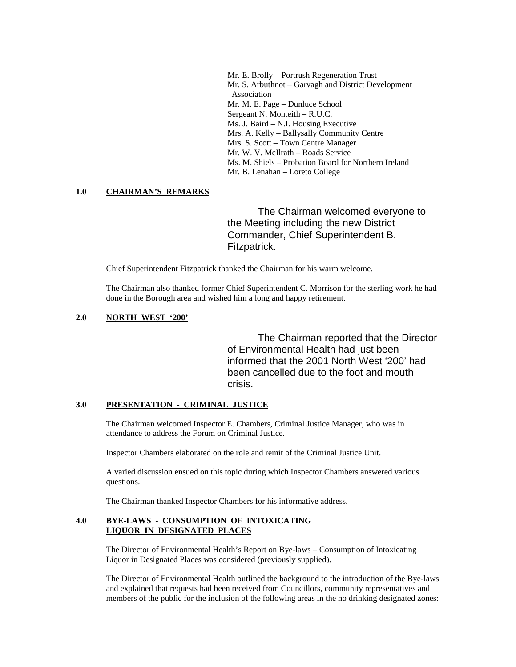Mr. E. Brolly – Portrush Regeneration Trust Mr. S. Arbuthnot – Garvagh and District Development Association Mr. M. E. Page – Dunluce School Sergeant N. Monteith – R.U.C. Ms. J. Baird – N.I. Housing Executive Mrs. A. Kelly – Ballysally Community Centre Mrs. S. Scott – Town Centre Manager Mr. W. V. McIlrath – Roads Service Ms. M. Shiels – Probation Board for Northern Ireland Mr. B. Lenahan – Loreto College

## **1.0 CHAIRMAN'S REMARKS**

The Chairman welcomed everyone to the Meeting including the new District Commander, Chief Superintendent B. Fitzpatrick.

Chief Superintendent Fitzpatrick thanked the Chairman for his warm welcome.

The Chairman also thanked former Chief Superintendent C. Morrison for the sterling work he had done in the Borough area and wished him a long and happy retirement.

### **2.0 NORTH WEST '200'**

The Chairman reported that the Director of Environmental Health had just been informed that the 2001 North West '200' had been cancelled due to the foot and mouth crisis.

#### **3.0 PRESENTATION - CRIMINAL JUSTICE**

The Chairman welcomed Inspector E. Chambers, Criminal Justice Manager, who was in attendance to address the Forum on Criminal Justice.

Inspector Chambers elaborated on the role and remit of the Criminal Justice Unit.

A varied discussion ensued on this topic during which Inspector Chambers answered various questions.

The Chairman thanked Inspector Chambers for his informative address.

## **4.0 BYE-LAWS - CONSUMPTION OF INTOXICATING LIQUOR IN DESIGNATED PLACES**

The Director of Environmental Health's Report on Bye-laws – Consumption of Intoxicating Liquor in Designated Places was considered (previously supplied).

The Director of Environmental Health outlined the background to the introduction of the Bye-laws and explained that requests had been received from Councillors, community representatives and members of the public for the inclusion of the following areas in the no drinking designated zones: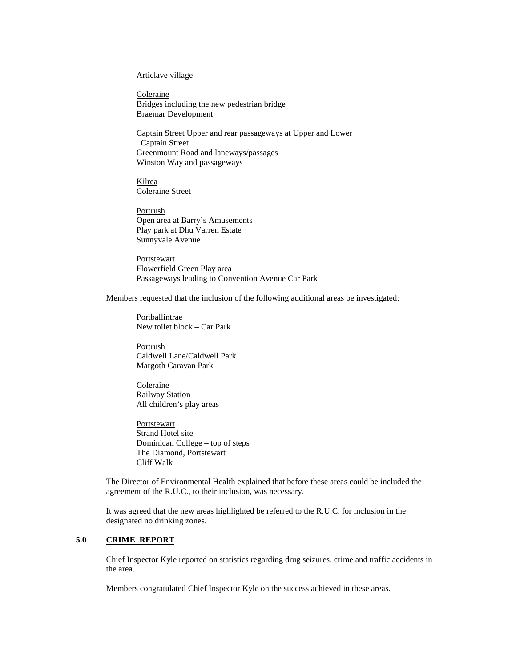Articlave village

Coleraine Bridges including the new pedestrian bridge Braemar Development

Captain Street Upper and rear passageways at Upper and Lower Captain Street Greenmount Road and laneways/passages Winston Way and passageways

Kilrea Coleraine Street

Portrush Open area at Barry's Amusements Play park at Dhu Varren Estate Sunnyvale Avenue

**Portstewart** Flowerfield Green Play area Passageways leading to Convention Avenue Car Park

Members requested that the inclusion of the following additional areas be investigated:

Portballintrae New toilet block – Car Park

Portrush Caldwell Lane/Caldwell Park Margoth Caravan Park

Coleraine Railway Station All children's play areas

Portstewart Strand Hotel site Dominican College – top of steps The Diamond, Portstewart Cliff Walk

The Director of Environmental Health explained that before these areas could be included the agreement of the R.U.C., to their inclusion, was necessary.

It was agreed that the new areas highlighted be referred to the R.U.C. for inclusion in the designated no drinking zones.

#### **5.0 CRIME REPORT**

Chief Inspector Kyle reported on statistics regarding drug seizures, crime and traffic accidents in the area.

Members congratulated Chief Inspector Kyle on the success achieved in these areas.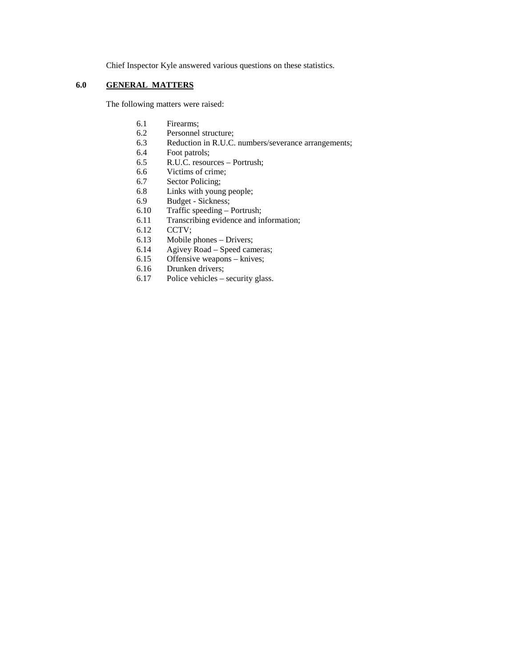Chief Inspector Kyle answered various questions on these statistics.

## **6.0 GENERAL MATTERS**

The following matters were raised:

- 6.1 Firearms;
- 6.2 Personnel structure;
- 6.3 Reduction in R.U.C. numbers/severance arrangements;<br>6.4 Foot patrols;
- Foot patrols;
- 6.5 R.U.C. resources Portrush;
- 6.6 Victims of crime;
- 6.7 Sector Policing;
- 6.8 Links with young people;
- 6.9 Budget Sickness;
- 6.10 Traffic speeding Portrush;
- 6.11 Transcribing evidence and information;
- 6.12 CCTV;
- 6.13 Mobile phones Drivers;
- 6.14 Agivey Road Speed cameras;
- 6.15 Offensive weapons knives;
- 6.16 Drunken drivers;
- 6.17 Police vehicles security glass.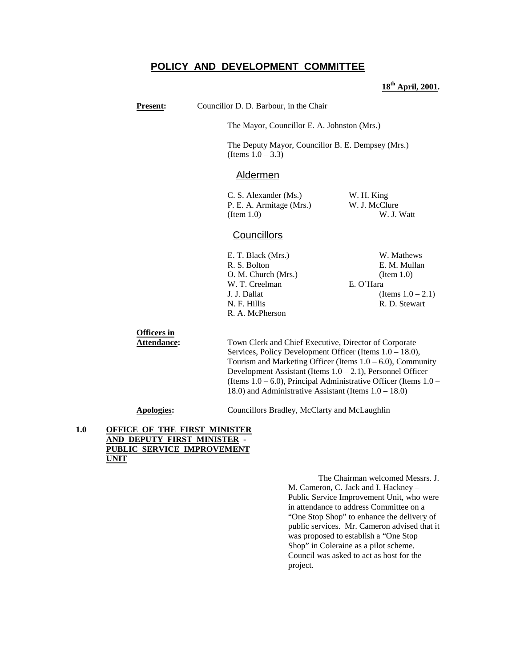## **POLICY AND DEVELOPMENT COMMITTEE**

## **18th April, 2001.**

| <b>Present:</b>                   | Councillor D. D. Barbour, in the Chair                                                                                         |                                                                                                                                                                                                                                                                                                                                                                                             |  |  |
|-----------------------------------|--------------------------------------------------------------------------------------------------------------------------------|---------------------------------------------------------------------------------------------------------------------------------------------------------------------------------------------------------------------------------------------------------------------------------------------------------------------------------------------------------------------------------------------|--|--|
|                                   |                                                                                                                                | The Mayor, Councillor E. A. Johnston (Mrs.)                                                                                                                                                                                                                                                                                                                                                 |  |  |
|                                   | (Items $1.0 - 3.3$ )                                                                                                           | The Deputy Mayor, Councillor B. E. Dempsey (Mrs.)                                                                                                                                                                                                                                                                                                                                           |  |  |
|                                   | <u>Aldermen</u>                                                                                                                |                                                                                                                                                                                                                                                                                                                                                                                             |  |  |
|                                   | C. S. Alexander (Ms.)<br>P. E. A. Armitage (Mrs.)<br>(Item 1.0)                                                                | W. H. King<br>W. J. McClure<br>W. J. Watt                                                                                                                                                                                                                                                                                                                                                   |  |  |
|                                   | <b>Councillors</b>                                                                                                             |                                                                                                                                                                                                                                                                                                                                                                                             |  |  |
|                                   | E. T. Black (Mrs.)<br>R. S. Bolton<br>O. M. Church (Mrs.)<br>W. T. Creelman<br>J. J. Dallat<br>N. F. Hillis<br>R. A. McPherson | W. Mathews<br>E. M. Mullan<br>(Item 1.0)<br>E. O'Hara<br>(Items $1.0 - 2.1$ )<br>R. D. Stewart                                                                                                                                                                                                                                                                                              |  |  |
| <b>Officers</b> in<br>Attendance: |                                                                                                                                | Town Clerk and Chief Executive, Director of Corporate<br>Services, Policy Development Officer (Items $1.0 - 18.0$ ),<br>Tourism and Marketing Officer (Items $1.0 - 6.0$ ), Community<br>Development Assistant (Items $1.0 - 2.1$ ), Personnel Officer<br>(Items $1.0 - 6.0$ ), Principal Administrative Officer (Items $1.0 -$<br>18.0) and Administrative Assistant (Items $1.0 - 18.0$ ) |  |  |

**Apologies:** Councillors Bradley, McClarty and McLaughlin

## **1.0 OFFICE OF THE FIRST MINISTER AND DEPUTY FIRST MINISTER - PUBLIC SERVICE IMPROVEMENT UNIT**

The Chairman welcomed Messrs. J. M. Cameron, C. Jack and I. Hackney – Public Service Improvement Unit, who were in attendance to address Committee on a "One Stop Shop" to enhance the delivery of public services. Mr. Cameron advised that it was proposed to establish a "One Stop Shop" in Coleraine as a pilot scheme. Council was asked to act as host for the project.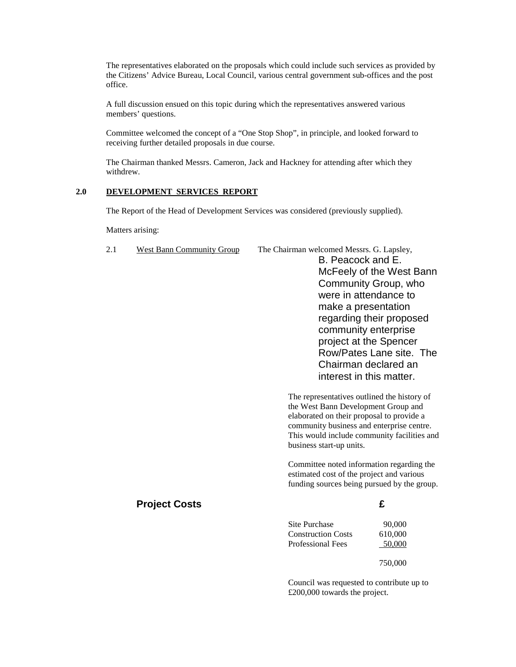The representatives elaborated on the proposals which could include such services as provided by the Citizens' Advice Bureau, Local Council, various central government sub-offices and the post office.

A full discussion ensued on this topic during which the representatives answered various members' questions.

Committee welcomed the concept of a "One Stop Shop", in principle, and looked forward to receiving further detailed proposals in due course.

The Chairman thanked Messrs. Cameron, Jack and Hackney for attending after which they withdrew.

## **2.0 DEVELOPMENT SERVICES REPORT**

The Report of the Head of Development Services was considered (previously supplied).

Matters arising:

| 2.1 | <b>West Bann Community Group</b> | The Chairman welcomed Messrs. G. Lapsley,                                                                                                                                                                                   |                          |
|-----|----------------------------------|-----------------------------------------------------------------------------------------------------------------------------------------------------------------------------------------------------------------------------|--------------------------|
|     |                                  | B. Peacock and E.                                                                                                                                                                                                           |                          |
|     |                                  |                                                                                                                                                                                                                             | McFeely of the West Bann |
|     |                                  |                                                                                                                                                                                                                             | Community Group, who     |
|     |                                  |                                                                                                                                                                                                                             | were in attendance to    |
|     |                                  | make a presentation                                                                                                                                                                                                         |                          |
|     |                                  |                                                                                                                                                                                                                             | regarding their proposed |
|     |                                  |                                                                                                                                                                                                                             | community enterprise     |
|     |                                  |                                                                                                                                                                                                                             | project at the Spencer   |
|     |                                  |                                                                                                                                                                                                                             | Row/Pates Lane site. The |
|     |                                  |                                                                                                                                                                                                                             | Chairman declared an     |
|     |                                  |                                                                                                                                                                                                                             | interest in this matter. |
|     |                                  | The representatives outlined the history of<br>the West Bann Development Group and<br>elaborated on their proposal to provide a<br>community business and enterprise centre.<br>This would include community facilities and |                          |
|     |                                  | business start-up units.                                                                                                                                                                                                    |                          |
|     |                                  | Committee noted information regarding the<br>estimated cost of the project and various<br>funding sources being pursued by the group.                                                                                       |                          |
|     | <b>Project Costs</b>             |                                                                                                                                                                                                                             | £                        |
|     |                                  | Site Purchase                                                                                                                                                                                                               | 90,000                   |
|     |                                  | <b>Construction Costs</b>                                                                                                                                                                                                   | 610,000                  |
|     |                                  | Professional Fees                                                                                                                                                                                                           | 50,000                   |
|     |                                  |                                                                                                                                                                                                                             | 750,000                  |
|     |                                  | Council was requested to contribute up to<br>$£200,000$ towards the project.                                                                                                                                                |                          |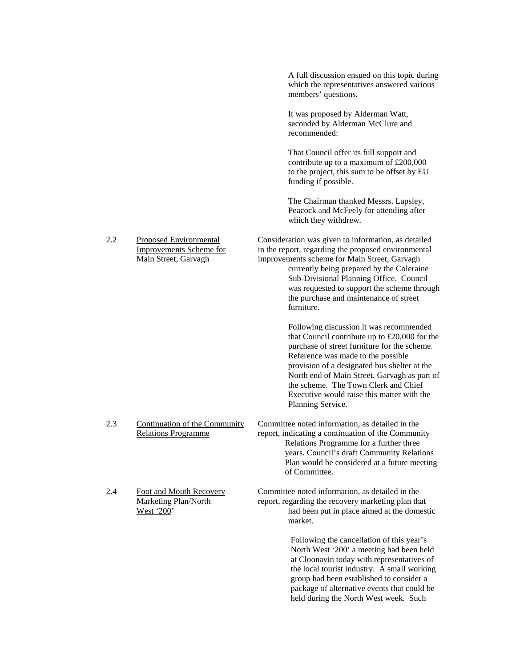|     |                                                                                         | A full discussion ensued on this topic during<br>which the representatives answered various<br>members' questions.                                                                                                                                                                                                                                                                        |
|-----|-----------------------------------------------------------------------------------------|-------------------------------------------------------------------------------------------------------------------------------------------------------------------------------------------------------------------------------------------------------------------------------------------------------------------------------------------------------------------------------------------|
|     |                                                                                         | It was proposed by Alderman Watt,<br>seconded by Alderman McClure and<br>recommended:                                                                                                                                                                                                                                                                                                     |
|     |                                                                                         | That Council offer its full support and<br>contribute up to a maximum of £200,000<br>to the project, this sum to be offset by EU<br>funding if possible.                                                                                                                                                                                                                                  |
|     |                                                                                         | The Chairman thanked Messrs. Lapsley,<br>Peacock and McFeely for attending after<br>which they withdrew.                                                                                                                                                                                                                                                                                  |
| 2.2 | <b>Proposed Environmental</b><br><b>Improvements Scheme for</b><br>Main Street, Garvagh | Consideration was given to information, as detailed<br>in the report, regarding the proposed environmental<br>improvements scheme for Main Street, Garvagh<br>currently being prepared by the Coleraine<br>Sub-Divisional Planning Office. Council<br>was requested to support the scheme through<br>the purchase and maintenance of street<br>furniture.                                 |
|     |                                                                                         | Following discussion it was recommended<br>that Council contribute up to £20,000 for the<br>purchase of street furniture for the scheme.<br>Reference was made to the possible<br>provision of a designated bus shelter at the<br>North end of Main Street, Garvagh as part of<br>the scheme. The Town Clerk and Chief<br>Executive would raise this matter with the<br>Planning Service. |
| 2.3 | Continuation of the Community<br><b>Relations Programme</b>                             | Committee noted information, as detailed in the<br>report, indicating a continuation of the Community<br>Relations Programme for a further three<br>years. Council's draft Community Relations<br>Plan would be considered at a future meeting<br>of Committee.                                                                                                                           |
| 2.4 | Foot and Mouth Recovery<br><b>Marketing Plan/North</b><br>West '200'                    | Committee noted information, as detailed in the<br>report, regarding the recovery marketing plan that<br>had been put in place aimed at the domestic<br>market.                                                                                                                                                                                                                           |
|     |                                                                                         | Following the cancellation of this year's<br>North West '200' a meeting had been held<br>at Cloonavin today with representatives of<br>the local tourist industry. A small working<br>group had been established to consider a<br>package of alternative events that could be<br>held during the North West week. Such                                                                    |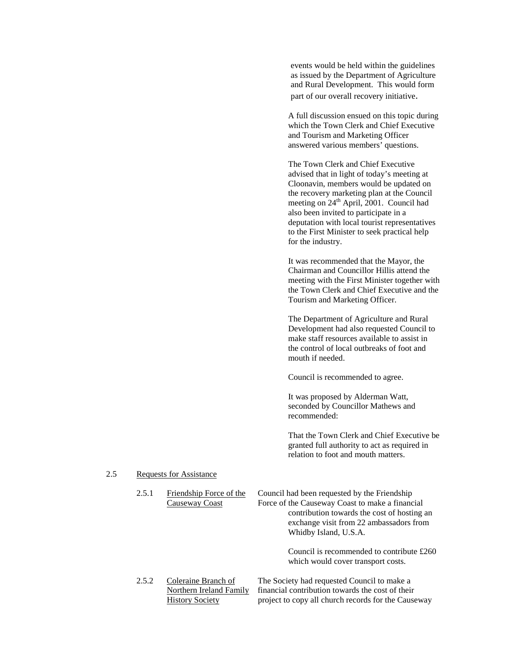events would be held within the guidelines as issued by the Department of Agriculture and Rural Development. This would form part of our overall recovery initiative.

A full discussion ensued on this topic during which the Town Clerk and Chief Executive and Tourism and Marketing Officer answered various members' questions.

The Town Clerk and Chief Executive advised that in light of today's meeting at Cloonavin, members would be updated on the recovery marketing plan at the Council meeting on 24<sup>th</sup> April, 2001. Council had also been invited to participate in a deputation with local tourist representatives to the First Minister to seek practical help for the industry.

It was recommended that the Mayor, the Chairman and Councillor Hillis attend the meeting with the First Minister together with the Town Clerk and Chief Executive and the Tourism and Marketing Officer.

The Department of Agriculture and Rural Development had also requested Council to make staff resources available to assist in the control of local outbreaks of foot and mouth if needed.

Council is recommended to agree.

It was proposed by Alderman Watt, seconded by Councillor Mathews and recommended:

That the Town Clerk and Chief Executive be granted full authority to act as required in relation to foot and mouth matters.

#### 2.5 Requests for Assistance

| 2.5.1 | Friendship Force of the<br><b>Causeway Coast</b>                         | Council had been requested by the Friendship<br>Force of the Causeway Coast to make a financial<br>contribution towards the cost of hosting an<br>exchange visit from 22 ambassadors from<br>Whidby Island, U.S.A. |
|-------|--------------------------------------------------------------------------|--------------------------------------------------------------------------------------------------------------------------------------------------------------------------------------------------------------------|
|       |                                                                          | Council is recommended to contribute £260<br>which would cover transport costs.                                                                                                                                    |
| 2.5.2 | Coleraine Branch of<br>Northern Ireland Family<br><b>History Society</b> | The Society had requested Council to make a<br>financial contribution towards the cost of their<br>project to copy all church records for the Causeway                                                             |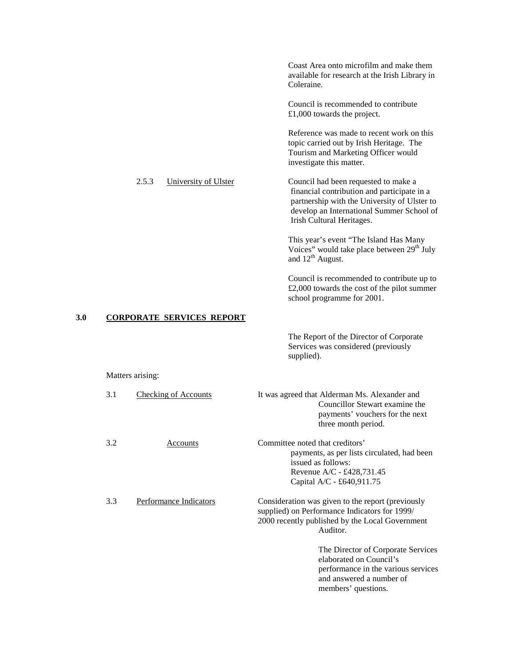Coast Area onto microfilm and make them available for research at the Irish Library in Coleraine.

Council is recommended to contribute £1,000 towards the project.

Reference was made to recent work on this topic carried out by Irish Heritage. The Tourism and Marketing Officer would investigate this matter.

## 2.5.3 University of Ulster Council had been requested to make a financial contribution and participate in a partnership with the University of Ulster to develop an International Summer School of Irish Cultural Heritages.

This year's event "The Island Has Many Voices" would take place between 29<sup>th</sup> July and  $12<sup>th</sup>$  August.

Council is recommended to contribute up to £2,000 towards the cost of the pilot summer school programme for 2001.

## **3.0 CORPORATE SERVICES REPORT**

The Report of the Director of Corporate Services was considered (previously supplied).

#### Matters arising:

| 3.1 | <b>Checking of Accounts</b> | It was agreed that Alderman Ms. Alexander and<br>Councillor Stewart examine the<br>payments' vouchers for the next<br>three month period.                         |
|-----|-----------------------------|-------------------------------------------------------------------------------------------------------------------------------------------------------------------|
| 3.2 | Accounts                    | Committee noted that creditors'<br>payments, as per lists circulated, had been<br>issued as follows:<br>Revenue $A/C - £428,731.45$<br>Capital A/C - £640,911.75  |
| 3.3 | Performance Indicators      | Consideration was given to the report (previously<br>supplied) on Performance Indicators for 1999/<br>2000 recently published by the Local Government<br>Auditor. |
|     |                             | The Director of Corporate Services<br>elaborated on Council's<br>performance in the various services<br>and answered a number of<br>members' questions.           |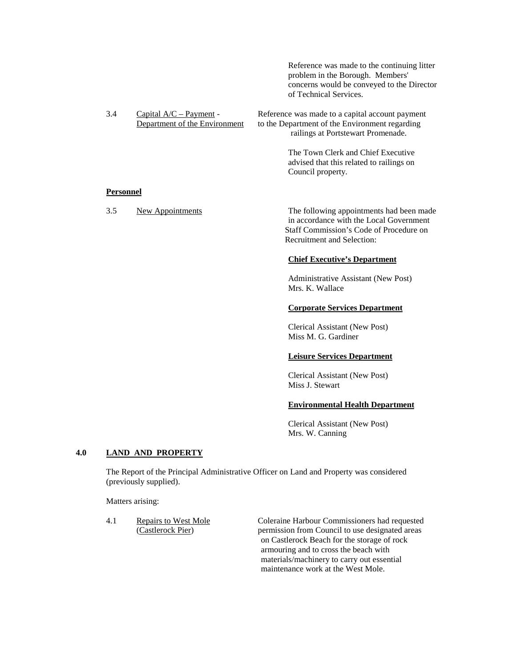| Reference was made to the continuing litter |  |  |  |
|---------------------------------------------|--|--|--|
| problem in the Borough. Members'            |  |  |  |
| concerns would be conveyed to the Director  |  |  |  |
| of Technical Services.                      |  |  |  |

| 3.4 | Capital $A/C$ – Payment –     | Reference was made to a capital account payment |
|-----|-------------------------------|-------------------------------------------------|
|     | Department of the Environment | to the Department of the Environment regarding  |
|     |                               | railings at Portstewart Promenade.              |

The Town Clerk and Chief Executive advised that this related to railings on Council property.

### **Personnel**

3.5 New Appointments The following appointments had been made in accordance with the Local Government Staff Commission's Code of Procedure on Recruitment and Selection:

## **Chief Executive's Department**

Administrative Assistant (New Post) Mrs. K. Wallace

#### **Corporate Services Department**

Clerical Assistant (New Post) Miss M. G. Gardiner

#### **Leisure Services Department**

Clerical Assistant (New Post) Miss J. Stewart

#### **Environmental Health Department**

Clerical Assistant (New Post) Mrs. W. Canning

## **4.0 LAND AND PROPERTY**

The Report of the Principal Administrative Officer on Land and Property was considered (previously supplied).

Matters arising:

4.1 Repairs to West Mole Coleraine Harbour Commissioners had requested (Castlerock Pier) permission from Council to use designated areas on Castlerock Beach for the storage of rock armouring and to cross the beach with materials/machinery to carry out essential maintenance work at the West Mole.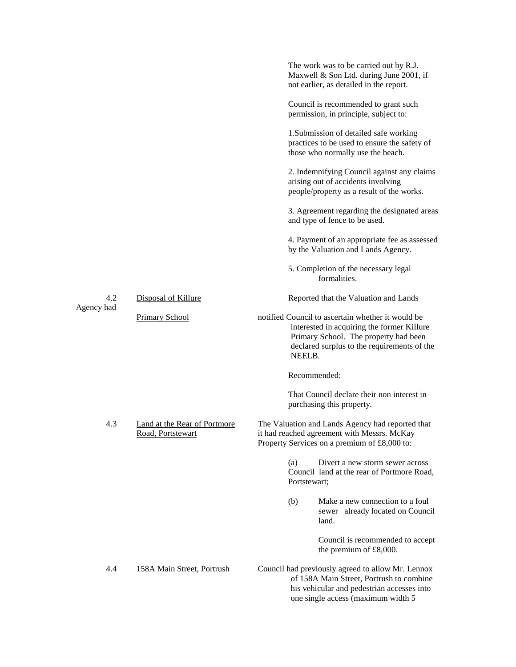|            |                                                   | The work was to be carried out by R.J.<br>Maxwell & Son Ltd. during June 2001, if<br>not earlier, as detailed in the report.                                                                      |
|------------|---------------------------------------------------|---------------------------------------------------------------------------------------------------------------------------------------------------------------------------------------------------|
|            |                                                   | Council is recommended to grant such<br>permission, in principle, subject to:                                                                                                                     |
|            |                                                   | 1. Submission of detailed safe working<br>practices to be used to ensure the safety of<br>those who normally use the beach.                                                                       |
|            |                                                   | 2. Indemnifying Council against any claims<br>arising out of accidents involving<br>people/property as a result of the works.                                                                     |
|            |                                                   | 3. Agreement regarding the designated areas<br>and type of fence to be used.                                                                                                                      |
|            |                                                   | 4. Payment of an appropriate fee as assessed<br>by the Valuation and Lands Agency.                                                                                                                |
|            |                                                   | 5. Completion of the necessary legal<br>formalities.                                                                                                                                              |
| 4.2        | Disposal of Killure                               | Reported that the Valuation and Lands                                                                                                                                                             |
| Agency had | <b>Primary School</b>                             | notified Council to ascertain whether it would be<br>interested in acquiring the former Killure<br>Primary School. The property had been<br>declared surplus to the requirements of the<br>NEELB. |
|            |                                                   | Recommended:                                                                                                                                                                                      |
|            |                                                   | That Council declare their non interest in<br>purchasing this property.                                                                                                                           |
| 4.3        | Land at the Rear of Portmore<br>Road, Portstewart | The Valuation and Lands Agency had reported that<br>it had reached agreement with Messrs. McKay<br>Property Services on a premium of £8,000 to:                                                   |
|            |                                                   | Divert a new storm sewer across<br>(a)<br>Council land at the rear of Portmore Road,<br>Portstewart;                                                                                              |
|            |                                                   | Make a new connection to a foul<br>(b)<br>sewer already located on Council<br>land.                                                                                                               |
|            |                                                   | Council is recommended to accept<br>the premium of £8,000.                                                                                                                                        |
| 4.4        | 158A Main Street, Portrush                        | Council had previously agreed to allow Mr. Lennox<br>of 158A Main Street, Portrush to combine<br>his vehicular and pedestrian accesses into<br>one single access (maximum width 5                 |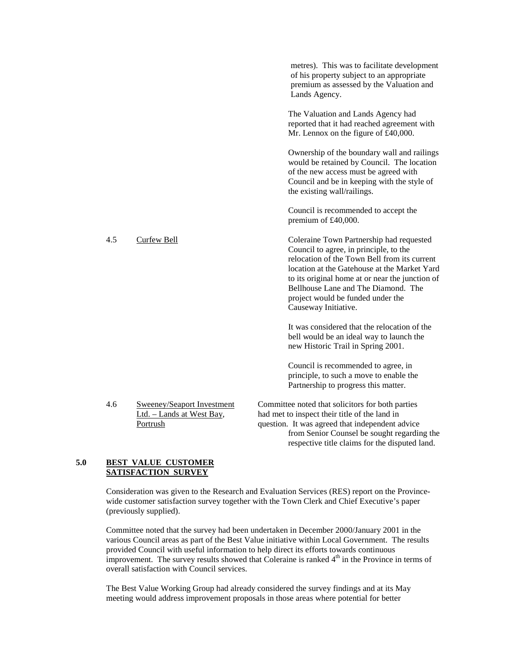|     |                                                                     | metres). This was to facilitate development<br>of his property subject to an appropriate<br>premium as assessed by the Valuation and<br>Lands Agency.                                                                                                                                                                                     |
|-----|---------------------------------------------------------------------|-------------------------------------------------------------------------------------------------------------------------------------------------------------------------------------------------------------------------------------------------------------------------------------------------------------------------------------------|
|     |                                                                     | The Valuation and Lands Agency had<br>reported that it had reached agreement with<br>Mr. Lennox on the figure of £40,000.                                                                                                                                                                                                                 |
|     |                                                                     | Ownership of the boundary wall and railings<br>would be retained by Council. The location<br>of the new access must be agreed with<br>Council and be in keeping with the style of<br>the existing wall/railings.                                                                                                                          |
|     |                                                                     | Council is recommended to accept the<br>premium of £40,000.                                                                                                                                                                                                                                                                               |
| 4.5 | <b>Curfew Bell</b>                                                  | Coleraine Town Partnership had requested<br>Council to agree, in principle, to the<br>relocation of the Town Bell from its current<br>location at the Gatehouse at the Market Yard<br>to its original home at or near the junction of<br>Bellhouse Lane and The Diamond. The<br>project would be funded under the<br>Causeway Initiative. |
|     |                                                                     | It was considered that the relocation of the<br>bell would be an ideal way to launch the<br>new Historic Trail in Spring 2001.                                                                                                                                                                                                            |
|     |                                                                     | Council is recommended to agree, in<br>principle, to such a move to enable the<br>Partnership to progress this matter.                                                                                                                                                                                                                    |
| 4.6 | Sweeney/Seaport Investment<br>Ltd. - Lands at West Bay,<br>Portrush | Committee noted that solicitors for both parties<br>had met to inspect their title of the land in<br>question. It was agreed that independent advice<br>from Senior Counsel be sought regarding the<br>respective title claims for the disputed land.                                                                                     |

## **5.0 BEST VALUE CUSTOMER SATISFACTION SURVEY**

Consideration was given to the Research and Evaluation Services (RES) report on the Provincewide customer satisfaction survey together with the Town Clerk and Chief Executive's paper (previously supplied).

Committee noted that the survey had been undertaken in December 2000/January 2001 in the various Council areas as part of the Best Value initiative within Local Government. The results provided Council with useful information to help direct its efforts towards continuous improvement. The survey results showed that Coleraine is ranked  $4<sup>th</sup>$  in the Province in terms of overall satisfaction with Council services.

The Best Value Working Group had already considered the survey findings and at its May meeting would address improvement proposals in those areas where potential for better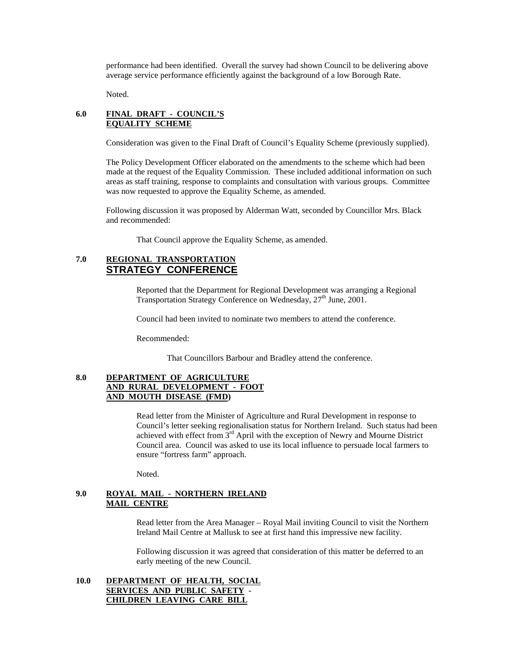performance had been identified. Overall the survey had shown Council to be delivering above average service performance efficiently against the background of a low Borough Rate.

Noted.

## **6.0 FINAL DRAFT - COUNCIL'S EQUALITY SCHEME**

Consideration was given to the Final Draft of Council's Equality Scheme (previously supplied).

The Policy Development Officer elaborated on the amendments to the scheme which had been made at the request of the Equality Commission. These included additional information on such areas as staff training, response to complaints and consultation with various groups. Committee was now requested to approve the Equality Scheme, as amended.

Following discussion it was proposed by Alderman Watt, seconded by Councillor Mrs. Black and recommended:

That Council approve the Equality Scheme, as amended.

## **7.0 REGIONAL TRANSPORTATION STRATEGY CONFERENCE**

Reported that the Department for Regional Development was arranging a Regional Transportation Strategy Conference on Wednesday, 27<sup>th</sup> June, 2001.

Council had been invited to nominate two members to attend the conference.

Recommended:

That Councillors Barbour and Bradley attend the conference.

## **8.0 DEPARTMENT OF AGRICULTURE AND RURAL DEVELOPMENT - FOOT AND MOUTH DISEASE (FMD)**

Read letter from the Minister of Agriculture and Rural Development in response to Council's letter seeking regionalisation status for Northern Ireland. Such status had been achieved with effect from  $3<sup>rd</sup>$  April with the exception of Newry and Mourne District Council area. Council was asked to use its local influence to persuade local farmers to ensure "fortress farm" approach.

Noted.

## **9.0 ROYAL MAIL - NORTHERN IRELAND MAIL CENTRE**

Read letter from the Area Manager – Royal Mail inviting Council to visit the Northern Ireland Mail Centre at Mallusk to see at first hand this impressive new facility.

Following discussion it was agreed that consideration of this matter be deferred to an early meeting of the new Council.

## **10.0 DEPARTMENT OF HEALTH, SOCIAL SERVICES AND PUBLIC SAFETY - CHILDREN LEAVING CARE BILL**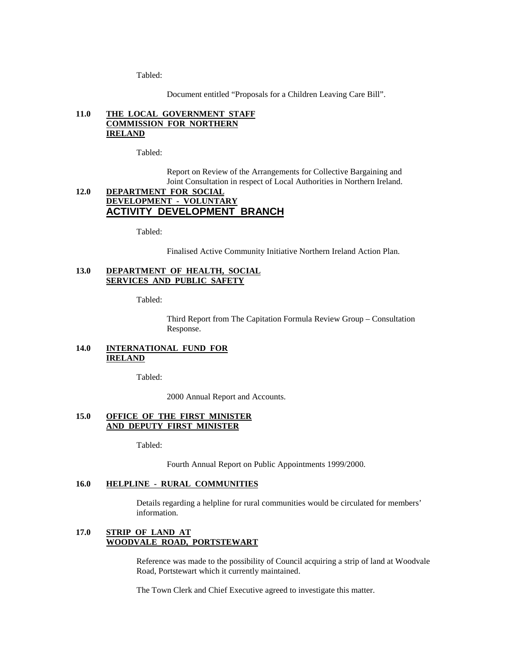Tabled:

Document entitled "Proposals for a Children Leaving Care Bill".

## **11.0 THE LOCAL GOVERNMENT STAFF COMMISSION FOR NORTHERN IRELAND**

Tabled:

Report on Review of the Arrangements for Collective Bargaining and Joint Consultation in respect of Local Authorities in Northern Ireland.

## **12.0 DEPARTMENT FOR SOCIAL DEVELOPMENT - VOLUNTARY ACTIVITY DEVELOPMENT BRANCH**

Tabled:

Finalised Active Community Initiative Northern Ireland Action Plan.

## **13.0 DEPARTMENT OF HEALTH, SOCIAL SERVICES AND PUBLIC SAFETY**

Tabled:

Third Report from The Capitation Formula Review Group – Consultation Response.

## **14.0 INTERNATIONAL FUND FOR IRELAND**

Tabled:

2000 Annual Report and Accounts.

## **15.0 OFFICE OF THE FIRST MINISTER AND DEPUTY FIRST MINISTER**

Tabled:

Fourth Annual Report on Public Appointments 1999/2000.

### **16.0 HELPLINE - RURAL COMMUNITIES**

Details regarding a helpline for rural communities would be circulated for members' information.

## **17.0 STRIP OF LAND AT WOODVALE ROAD, PORTSTEWART**

Reference was made to the possibility of Council acquiring a strip of land at Woodvale Road, Portstewart which it currently maintained.

The Town Clerk and Chief Executive agreed to investigate this matter.